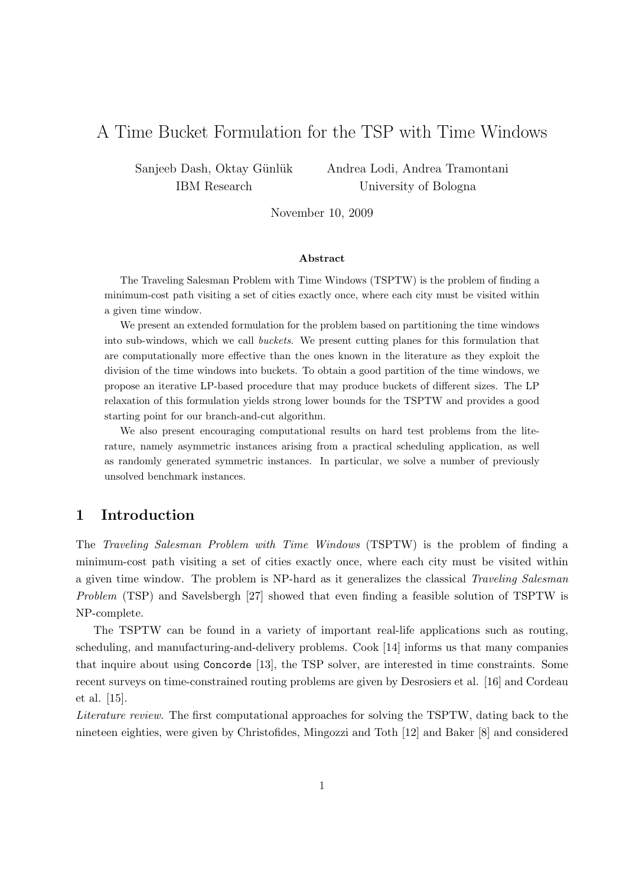# A Time Bucket Formulation for the TSP with Time Windows

Sanjeeb Dash, Oktay Günlük IBM Research

Andrea Lodi, Andrea Tramontani University of Bologna

November 10, 2009

#### Abstract

The Traveling Salesman Problem with Time Windows (TSPTW) is the problem of finding a minimum-cost path visiting a set of cities exactly once, where each city must be visited within a given time window.

We present an extended formulation for the problem based on partitioning the time windows into sub-windows, which we call buckets. We present cutting planes for this formulation that are computationally more effective than the ones known in the literature as they exploit the division of the time windows into buckets. To obtain a good partition of the time windows, we propose an iterative LP-based procedure that may produce buckets of different sizes. The LP relaxation of this formulation yields strong lower bounds for the TSPTW and provides a good starting point for our branch-and-cut algorithm.

We also present encouraging computational results on hard test problems from the literature, namely asymmetric instances arising from a practical scheduling application, as well as randomly generated symmetric instances. In particular, we solve a number of previously unsolved benchmark instances.

# 1 Introduction

The Traveling Salesman Problem with Time Windows (TSPTW) is the problem of finding a minimum-cost path visiting a set of cities exactly once, where each city must be visited within a given time window. The problem is NP-hard as it generalizes the classical Traveling Salesman Problem (TSP) and Savelsbergh [27] showed that even finding a feasible solution of TSPTW is NP-complete.

The TSPTW can be found in a variety of important real-life applications such as routing, scheduling, and manufacturing-and-delivery problems. Cook [14] informs us that many companies that inquire about using Concorde [13], the TSP solver, are interested in time constraints. Some recent surveys on time-constrained routing problems are given by Desrosiers et al. [16] and Cordeau et al. [15].

Literature review. The first computational approaches for solving the TSPTW, dating back to the nineteen eighties, were given by Christofides, Mingozzi and Toth [12] and Baker [8] and considered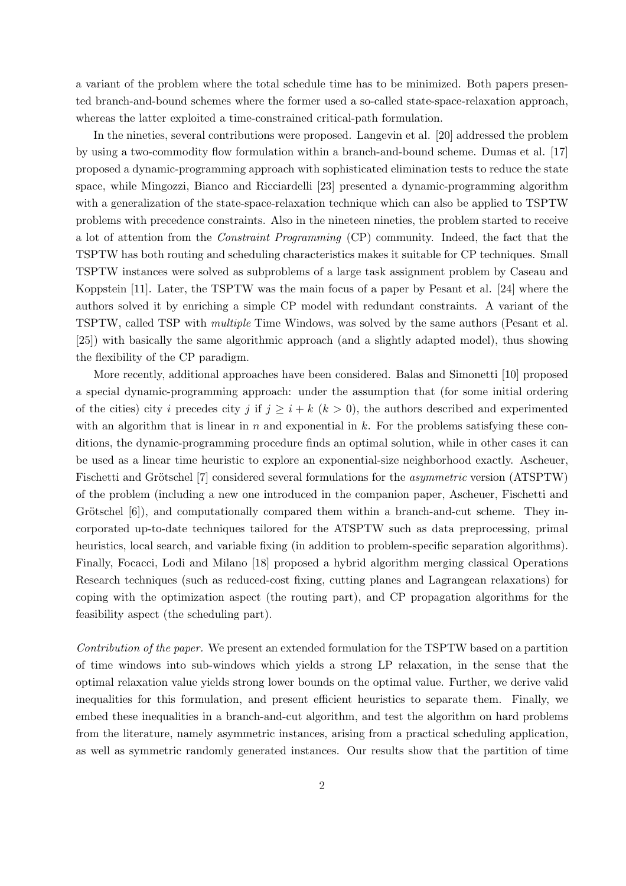a variant of the problem where the total schedule time has to be minimized. Both papers presented branch-and-bound schemes where the former used a so-called state-space-relaxation approach, whereas the latter exploited a time-constrained critical-path formulation.

In the nineties, several contributions were proposed. Langevin et al. [20] addressed the problem by using a two-commodity flow formulation within a branch-and-bound scheme. Dumas et al. [17] proposed a dynamic-programming approach with sophisticated elimination tests to reduce the state space, while Mingozzi, Bianco and Ricciardelli [23] presented a dynamic-programming algorithm with a generalization of the state-space-relaxation technique which can also be applied to TSPTW problems with precedence constraints. Also in the nineteen nineties, the problem started to receive a lot of attention from the Constraint Programming (CP) community. Indeed, the fact that the TSPTW has both routing and scheduling characteristics makes it suitable for CP techniques. Small TSPTW instances were solved as subproblems of a large task assignment problem by Caseau and Koppstein [11]. Later, the TSPTW was the main focus of a paper by Pesant et al. [24] where the authors solved it by enriching a simple CP model with redundant constraints. A variant of the TSPTW, called TSP with multiple Time Windows, was solved by the same authors (Pesant et al. [25]) with basically the same algorithmic approach (and a slightly adapted model), thus showing the flexibility of the CP paradigm.

More recently, additional approaches have been considered. Balas and Simonetti [10] proposed a special dynamic-programming approach: under the assumption that (for some initial ordering of the cities) city i precedes city j if  $j \geq i + k$   $(k > 0)$ , the authors described and experimented with an algorithm that is linear in n and exponential in k. For the problems satisfying these conditions, the dynamic-programming procedure finds an optimal solution, while in other cases it can be used as a linear time heuristic to explore an exponential-size neighborhood exactly. Ascheuer, Fischetti and Grötschel [7] considered several formulations for the *asymmetric* version (ATSPTW) of the problem (including a new one introduced in the companion paper, Ascheuer, Fischetti and Grötschel  $[6]$ , and computationally compared them within a branch-and-cut scheme. They incorporated up-to-date techniques tailored for the ATSPTW such as data preprocessing, primal heuristics, local search, and variable fixing (in addition to problem-specific separation algorithms). Finally, Focacci, Lodi and Milano [18] proposed a hybrid algorithm merging classical Operations Research techniques (such as reduced-cost fixing, cutting planes and Lagrangean relaxations) for coping with the optimization aspect (the routing part), and CP propagation algorithms for the feasibility aspect (the scheduling part).

Contribution of the paper. We present an extended formulation for the TSPTW based on a partition of time windows into sub-windows which yields a strong LP relaxation, in the sense that the optimal relaxation value yields strong lower bounds on the optimal value. Further, we derive valid inequalities for this formulation, and present efficient heuristics to separate them. Finally, we embed these inequalities in a branch-and-cut algorithm, and test the algorithm on hard problems from the literature, namely asymmetric instances, arising from a practical scheduling application, as well as symmetric randomly generated instances. Our results show that the partition of time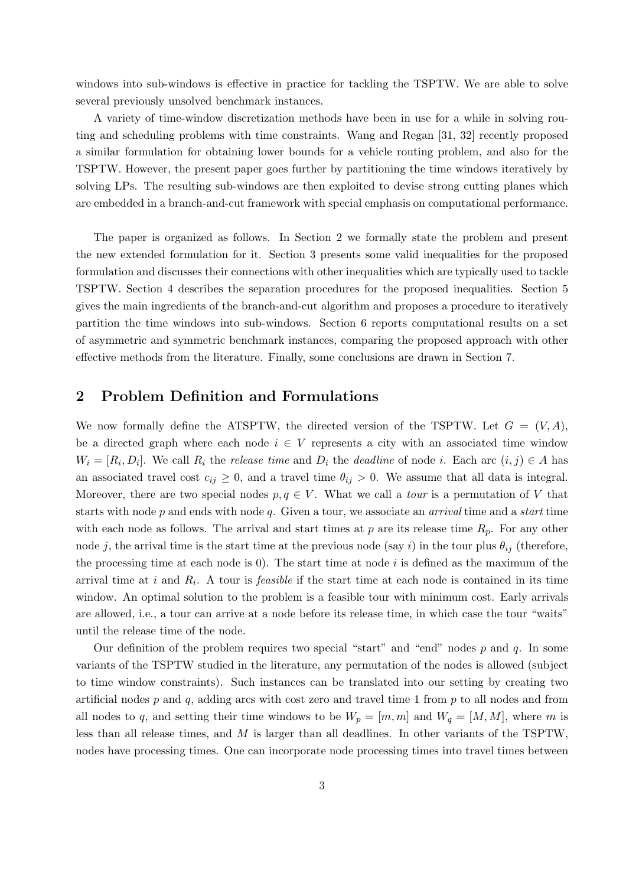windows into sub-windows is effective in practice for tackling the TSPTW. We are able to solve several previously unsolved benchmark instances.

A variety of time-window discretization methods have been in use for a while in solving routing and scheduling problems with time constraints. Wang and Regan [31, 32] recently proposed a similar formulation for obtaining lower bounds for a vehicle routing problem, and also for the TSPTW. However, the present paper goes further by partitioning the time windows iteratively by solving LPs. The resulting sub-windows are then exploited to devise strong cutting planes which are embedded in a branch-and-cut framework with special emphasis on computational performance.

The paper is organized as follows. In Section 2 we formally state the problem and present the new extended formulation for it. Section 3 presents some valid inequalities for the proposed formulation and discusses their connections with other inequalities which are typically used to tackle TSPTW. Section 4 describes the separation procedures for the proposed inequalities. Section 5 gives the main ingredients of the branch-and-cut algorithm and proposes a procedure to iteratively partition the time windows into sub-windows. Section 6 reports computational results on a set of asymmetric and symmetric benchmark instances, comparing the proposed approach with other effective methods from the literature. Finally, some conclusions are drawn in Section 7.

# 2 Problem Definition and Formulations

We now formally define the ATSPTW, the directed version of the TSPTW. Let  $G = (V, A)$ , be a directed graph where each node  $i \in V$  represents a city with an associated time window  $W_i = [R_i, D_i]$ . We call  $R_i$  the *release time* and  $D_i$  the *deadline* of node i. Each arc  $(i, j) \in A$  has an associated travel cost  $c_{ij} \geq 0$ , and a travel time  $\theta_{ij} > 0$ . We assume that all data is integral. Moreover, there are two special nodes  $p, q \in V$ . What we call a *tour* is a permutation of V that starts with node  $p$  and ends with node  $q$ . Given a tour, we associate an *arrival* time and a *start* time with each node as follows. The arrival and start times at p are its release time  $R_p$ . For any other node j, the arrival time is the start time at the previous node (say i) in the tour plus  $\theta_{ij}$  (therefore, the processing time at each node is  $0$ . The start time at node i is defined as the maximum of the arrival time at i and  $R_i$ . A tour is *feasible* if the start time at each node is contained in its time window. An optimal solution to the problem is a feasible tour with minimum cost. Early arrivals are allowed, i.e., a tour can arrive at a node before its release time, in which case the tour "waits" until the release time of the node.

Our definition of the problem requires two special "start" and "end" nodes  $p$  and  $q$ . In some variants of the TSPTW studied in the literature, any permutation of the nodes is allowed (subject to time window constraints). Such instances can be translated into our setting by creating two artificial nodes  $p$  and  $q$ , adding arcs with cost zero and travel time 1 from  $p$  to all nodes and from all nodes to q, and setting their time windows to be  $W_p = [m, m]$  and  $W_q = [M, M]$ , where m is less than all release times, and M is larger than all deadlines. In other variants of the TSPTW, nodes have processing times. One can incorporate node processing times into travel times between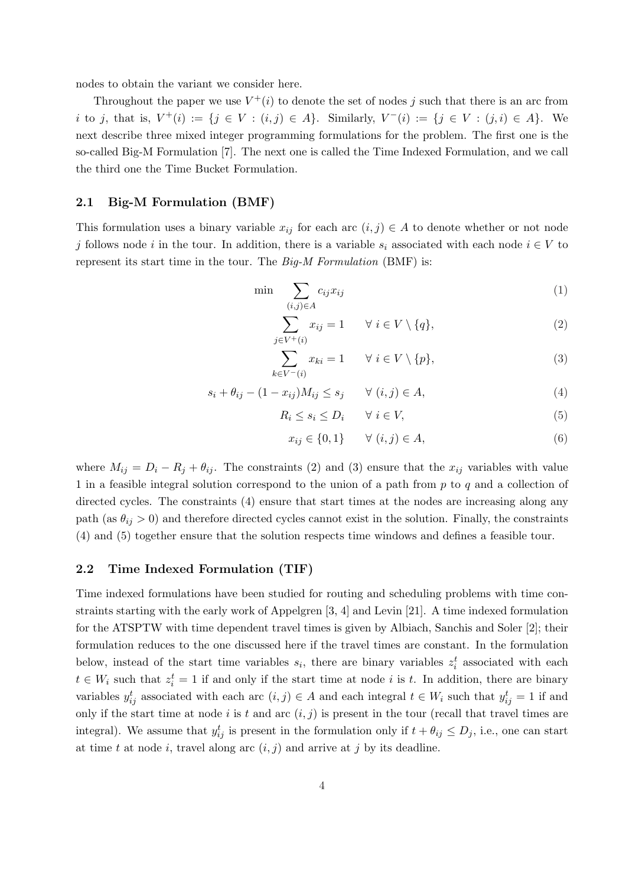nodes to obtain the variant we consider here.

Throughout the paper we use  $V^+(i)$  to denote the set of nodes j such that there is an arc from i to j, that is,  $V^+(i) := \{j \in V : (i,j) \in A\}$ . Similarly,  $V^-(i) := \{j \in V : (j,i) \in A\}$ . We next describe three mixed integer programming formulations for the problem. The first one is the so-called Big-M Formulation [7]. The next one is called the Time Indexed Formulation, and we call the third one the Time Bucket Formulation.

#### 2.1 Big-M Formulation (BMF)

This formulation uses a binary variable  $x_{ij}$  for each arc  $(i, j) \in A$  to denote whether or not node j follows node i in the tour. In addition, there is a variable  $s_i$  associated with each node  $i \in V$  to represent its start time in the tour. The Big-M Formulation (BMF) is:

 $\dot{j}$ 

$$
\min \sum_{(i,j)\in A} c_{ij} x_{ij} \tag{1}
$$

$$
\sum_{\substack{v \in V^+(i)}} x_{ij} = 1 \qquad \forall \ i \in V \setminus \{q\},\tag{2}
$$

$$
\sum_{k \in V^-(i)} x_{ki} = 1 \qquad \forall \ i \in V \setminus \{p\},\tag{3}
$$

$$
s_i + \theta_{ij} - (1 - x_{ij})M_{ij} \le s_j \qquad \forall (i, j) \in A,
$$
\n
$$
(4)
$$

$$
R_i \le s_i \le D_i \qquad \forall \ i \in V,\tag{5}
$$

$$
x_{ij} \in \{0, 1\} \qquad \forall \ (i, j) \in A,\tag{6}
$$

where  $M_{ij} = D_i - R_j + \theta_{ij}$ . The constraints (2) and (3) ensure that the  $x_{ij}$  variables with value 1 in a feasible integral solution correspond to the union of a path from p to q and a collection of directed cycles. The constraints (4) ensure that start times at the nodes are increasing along any path (as  $\theta_{ij} > 0$ ) and therefore directed cycles cannot exist in the solution. Finally, the constraints (4) and (5) together ensure that the solution respects time windows and defines a feasible tour.

### 2.2 Time Indexed Formulation (TIF)

Time indexed formulations have been studied for routing and scheduling problems with time constraints starting with the early work of Appelgren [3, 4] and Levin [21]. A time indexed formulation for the ATSPTW with time dependent travel times is given by Albiach, Sanchis and Soler [2]; their formulation reduces to the one discussed here if the travel times are constant. In the formulation below, instead of the start time variables  $s_i$ , there are binary variables  $z_i^t$  associated with each  $t \in W_i$  such that  $z_i^t = 1$  if and only if the start time at node i is t. In addition, there are binary variables  $y_{ij}^t$  associated with each arc  $(i, j) \in A$  and each integral  $t \in W_i$  such that  $y_{ij}^t = 1$  if and only if the start time at node i is t and arc  $(i, j)$  is present in the tour (recall that travel times are integral). We assume that  $y_{ij}^t$  is present in the formulation only if  $t + \theta_{ij} \leq D_j$ , i.e., one can start at time t at node i, travel along arc  $(i, j)$  and arrive at j by its deadline.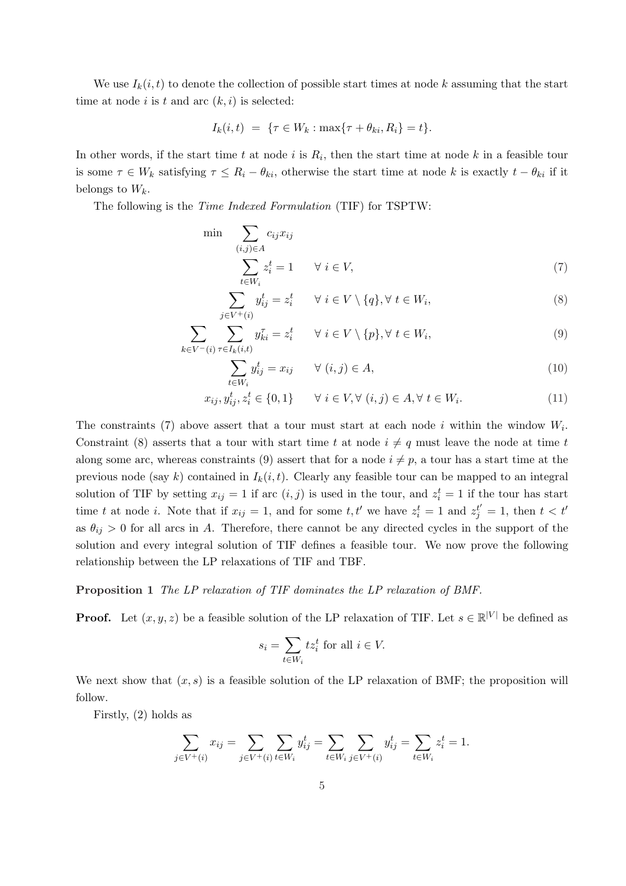We use  $I_k(i, t)$  to denote the collection of possible start times at node k assuming that the start time at node i is t and arc  $(k, i)$  is selected:

$$
I_k(i, t) = \{ \tau \in W_k : \max\{\tau + \theta_{ki}, R_i\} = t \}.
$$

In other words, if the start time t at node i is  $R_i$ , then the start time at node k in a feasible tour is some  $\tau \in W_k$  satisfying  $\tau \leq R_i - \theta_{ki}$ , otherwise the start time at node k is exactly  $t - \theta_{ki}$  if it belongs to  $W_k$ .

The following is the Time Indexed Formulation (TIF) for TSPTW:

$$
\min \sum_{\substack{(i,j)\in A \\ t \in W_i}} c_{ij} x_{ij}
$$
\n
$$
\sum_{t \in W_i} z_i^t = 1 \quad \forall \ i \in V,
$$
\n
$$
(7)
$$

$$
\sum_{j \in V^+(i)} y_{ij}^t = z_i^t \qquad \forall \ i \in V \setminus \{q\}, \forall \ t \in W_i,
$$
\n
$$
(8)
$$

$$
\sum_{k \in V^{-}(i)} \sum_{\tau \in I_k(i,t)} y_{ki}^{\tau} = z_i^t \qquad \forall \ i \in V \setminus \{p\}, \forall \ t \in W_i,
$$
\n
$$
(9)
$$

$$
\sum_{t \in W_i} y_{ij}^t = x_{ij} \qquad \forall (i, j) \in A,
$$
\n(10)

$$
x_{ij}, y_{ij}^t, z_i^t \in \{0, 1\} \qquad \forall \ i \in V, \forall \ (i, j) \in A, \forall \ t \in W_i.
$$
 (11)

The constraints (7) above assert that a tour must start at each node i within the window  $W_i$ . Constraint (8) asserts that a tour with start time t at node  $i \neq q$  must leave the node at time t along some arc, whereas constraints (9) assert that for a node  $i \neq p$ , a tour has a start time at the previous node (say k) contained in  $I_k(i, t)$ . Clearly any feasible tour can be mapped to an integral solution of TIF by setting  $x_{ij} = 1$  if arc  $(i, j)$  is used in the tour, and  $z_i^t = 1$  if the tour has start time t at node i. Note that if  $x_{ij} = 1$ , and for some t, t' we have  $z_i^t = 1$  and  $z_j^{t'} = 1$ , then  $t < t'$ as  $\theta_{ij} > 0$  for all arcs in A. Therefore, there cannot be any directed cycles in the support of the solution and every integral solution of TIF defines a feasible tour. We now prove the following relationship between the LP relaxations of TIF and TBF.

#### Proposition 1 The LP relaxation of TIF dominates the LP relaxation of BMF.

**Proof.** Let  $(x, y, z)$  be a feasible solution of the LP relaxation of TIF. Let  $s \in \mathbb{R}^{|V|}$  be defined as

$$
s_i = \sum_{t \in W_i} t z_i^t \text{ for all } i \in V.
$$

We next show that  $(x, s)$  is a feasible solution of the LP relaxation of BMF; the proposition will follow.

Firstly, (2) holds as

$$
\sum_{j \in V^+(i)} x_{ij} = \sum_{j \in V^+(i)} \sum_{t \in W_i} y_{ij}^t = \sum_{t \in W_i} \sum_{j \in V^+(i)} y_{ij}^t = \sum_{t \in W_i} z_i^t = 1.
$$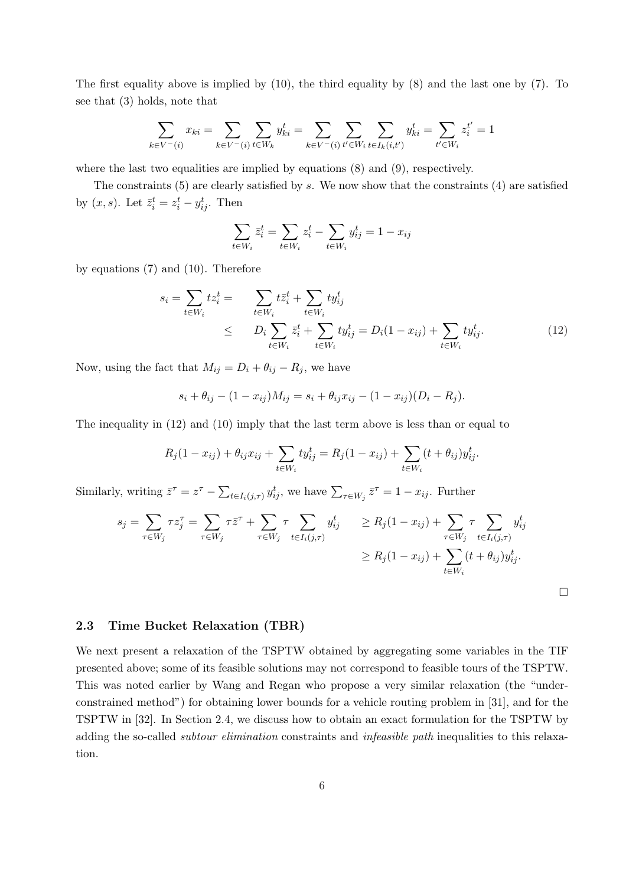The first equality above is implied by (10), the third equality by (8) and the last one by (7). To see that (3) holds, note that

$$
\sum_{k \in V^{-}(i)} x_{ki} = \sum_{k \in V^{-}(i)} \sum_{t \in W_k} y_{ki}^{t} = \sum_{k \in V^{-}(i)} \sum_{t' \in W_i} \sum_{t \in I_k(i,t')} y_{ki}^{t} = \sum_{t' \in W_i} z_i^{t'} = 1
$$

where the last two equalities are implied by equations  $(8)$  and  $(9)$ , respectively.

The constraints  $(5)$  are clearly satisfied by s. We now show that the constraints  $(4)$  are satisfied by  $(x, s)$ . Let  $\bar{z}_i^t = z_i^t - y_{ij}^t$ . Then

$$
\sum_{t \in W_i} \bar{z}_i^t = \sum_{t \in W_i} z_i^t - \sum_{t \in W_i} y_{ij}^t = 1 - x_{ij}
$$

by equations (7) and (10). Therefore

$$
s_i = \sum_{t \in W_i} t z_i^t = \sum_{t \in W_i} t \bar{z}_i^t + \sum_{t \in W_i} t y_{ij}^t
$$
  
 
$$
\leq D_i \sum_{t \in W_i} \bar{z}_i^t + \sum_{t \in W_i} t y_{ij}^t = D_i (1 - x_{ij}) + \sum_{t \in W_i} t y_{ij}^t.
$$
 (12)

Now, using the fact that  $M_{ij} = D_i + \theta_{ij} - R_j$ , we have

$$
s_i + \theta_{ij} - (1 - x_{ij})M_{ij} = s_i + \theta_{ij}x_{ij} - (1 - x_{ij})(D_i - R_j).
$$

The inequality in (12) and (10) imply that the last term above is less than or equal to

$$
R_j(1 - x_{ij}) + \theta_{ij} x_{ij} + \sum_{t \in W_i} t y_{ij}^t = R_j(1 - x_{ij}) + \sum_{t \in W_i} (t + \theta_{ij}) y_{ij}^t.
$$

Similarly, writing  $\bar{z}^{\tau} = z^{\tau} - \sum$  $t \in I_i(j,\tau)$   $y_{ij}^t$ , we have  $\sum_{\tau \in W_j} \bar{z}^{\tau} = 1 - x_{ij}$ . Further

$$
s_j = \sum_{\tau \in W_j} \tau z_j^{\tau} = \sum_{\tau \in W_j} \tau \bar{z}^{\tau} + \sum_{\tau \in W_j} \tau \sum_{t \in I_i(j,\tau)} y_{ij}^t \ge R_j(1 - x_{ij}) + \sum_{\tau \in W_j} \tau \sum_{t \in I_i(j,\tau)} y_{ij}^t \ge R_j(1 - x_{ij}) + \sum_{t \in W_i} (t + \theta_{ij}) y_{ij}^t.
$$

 $\Box$ 

2.3 Time Bucket Relaxation (TBR)

We next present a relaxation of the TSPTW obtained by aggregating some variables in the TIF presented above; some of its feasible solutions may not correspond to feasible tours of the TSPTW. This was noted earlier by Wang and Regan who propose a very similar relaxation (the "underconstrained method") for obtaining lower bounds for a vehicle routing problem in [31], and for the TSPTW in [32]. In Section 2.4, we discuss how to obtain an exact formulation for the TSPTW by adding the so-called *subtour elimination* constraints and *infeasible path* inequalities to this relaxation.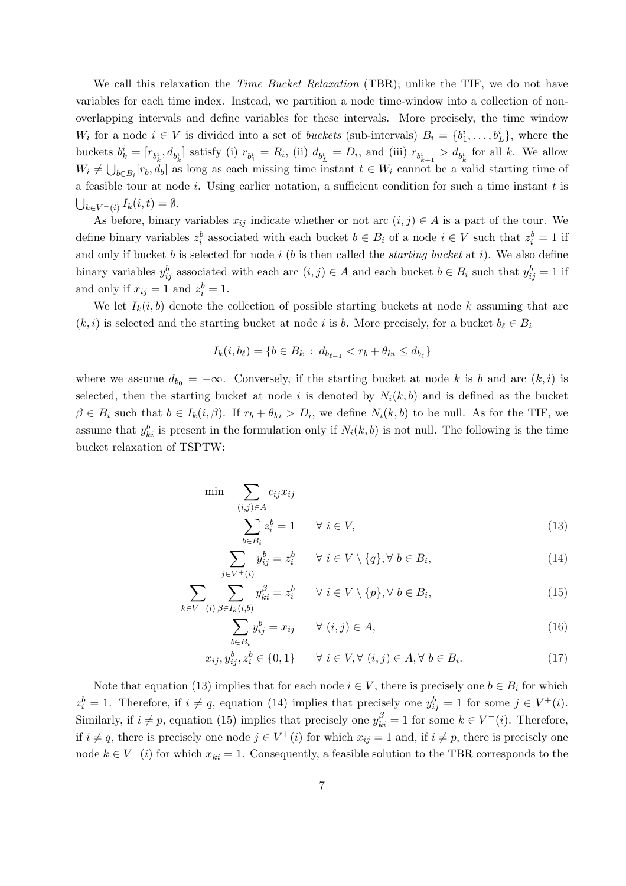We call this relaxation the *Time Bucket Relaxation* (TBR); unlike the TIF, we do not have variables for each time index. Instead, we partition a node time-window into a collection of nonoverlapping intervals and define variables for these intervals. More precisely, the time window W<sub>i</sub> for a node  $i \in V$  is divided into a set of *buckets* (sub-intervals)  $B_i = \{b_1^i, \ldots, b_L^i\}$ , where the buckets  $b_k^i = [r_{b_k^i}, d_{b_k^i}]$  satisfy (i)  $r_{b_1^i} = R_i$ , (ii)  $d_{b_L^i} = D_i$ , and (iii)  $r_{b_{k+1}^i} > d_{b_k^i}$  for all k. We allow  $W_i \neq \bigcup_{b \in B_i} [r_b, d_b]$  as long as each missing time instant  $t \in W_i$  cannot be a valid starting time of  $\tilde{\ }$ . a feasible tour at node i. Using earlier notation, a sufficient condition for such a time instant  $t$  is  $\frac{8}{1}$  $k \in V^-(i)$   $I_k(i,t) = \emptyset$ .

As before, binary variables  $x_{ij}$  indicate whether or not arc  $(i, j) \in A$  is a part of the tour. We define binary variables  $z_i^b$  associated with each bucket  $b \in B_i$  of a node  $i \in V$  such that  $z_i^b = 1$  if and only if bucket  $b$  is selected for node  $i$  ( $b$  is then called the *starting bucket* at  $i$ ). We also define binary variables  $y_{ij}^b$  associated with each arc  $(i, j) \in A$  and each bucket  $b \in B_i$  such that  $y_{ij}^b = 1$  if and only if  $x_{ij} = 1$  and  $z_i^b = 1$ .

We let  $I_k(i, b)$  denote the collection of possible starting buckets at node k assuming that arc  $(k, i)$  is selected and the starting bucket at node i is b. More precisely, for a bucket  $b_{\ell} \in B_i$ 

$$
I_k(i, b_\ell) = \{b \in B_k \, : \, d_{b_{\ell-1}} < r_b + \theta_{ki} \le d_{b_\ell}\}
$$

where we assume  $d_{b_0} = -\infty$ . Conversely, if the starting bucket at node k is b and arc  $(k, i)$  is selected, then the starting bucket at node i is denoted by  $N_i(k, b)$  and is defined as the bucket  $\beta \in B_i$  such that  $b \in I_k(i, \beta)$ . If  $r_b + \theta_{ki} > D_i$ , we define  $N_i(k, b)$  to be null. As for the TIF, we assume that  $y_{ki}^b$  is present in the formulation only if  $N_i(k, b)$  is not null. The following is the time bucket relaxation of TSPTW:

$$
\min \sum_{(i,j)\in A} c_{ij} x_{ij}
$$
\n
$$
\sum z_i^b = 1 \qquad \forall \ i \in V,
$$
\n(13)

$$
\sum_{i \in V^+(i)} b_i \overline{B_i} = z_i^b \qquad \forall \ i \in V \setminus \{q\}, \forall \ b \in B_i,\tag{14}
$$

$$
\sum_{k \in V^{-}(i)} \sum_{\beta \in I_k(i,b)}^{j \in V^{+}(i)} y_{ki}^{\beta} = z_i^b \qquad \forall \ i \in V \setminus \{p\}, \forall \ b \in B_i,
$$
\n(15)

$$
\sum_{b \in B_i} y_{ij}^b = x_{ij} \qquad \forall (i, j) \in A,
$$
\n(16)

$$
x_{ij}, y_{ij}^b, z_i^b \in \{0, 1\} \qquad \forall \ i \in V, \forall \ (i, j) \in A, \forall \ b \in B_i.
$$
 (17)

Note that equation (13) implies that for each node  $i \in V$ , there is precisely one  $b \in B_i$  for which  $z_i^b = 1$ . Therefore, if  $i \neq q$ , equation (14) implies that precisely one  $y_{ij}^b = 1$  for some  $j \in V^+(i)$ . Similarly, if  $i \neq p$ , equation (15) implies that precisely one  $y_{ki}^{\beta} = 1$  for some  $k \in V^-(i)$ . Therefore, if  $i \neq q$ , there is precisely one node  $j \in V^+(i)$  for which  $x_{ij} = 1$  and, if  $i \neq p$ , there is precisely one node  $k \in V^-(i)$  for which  $x_{ki} = 1$ . Consequently, a feasible solution to the TBR corresponds to the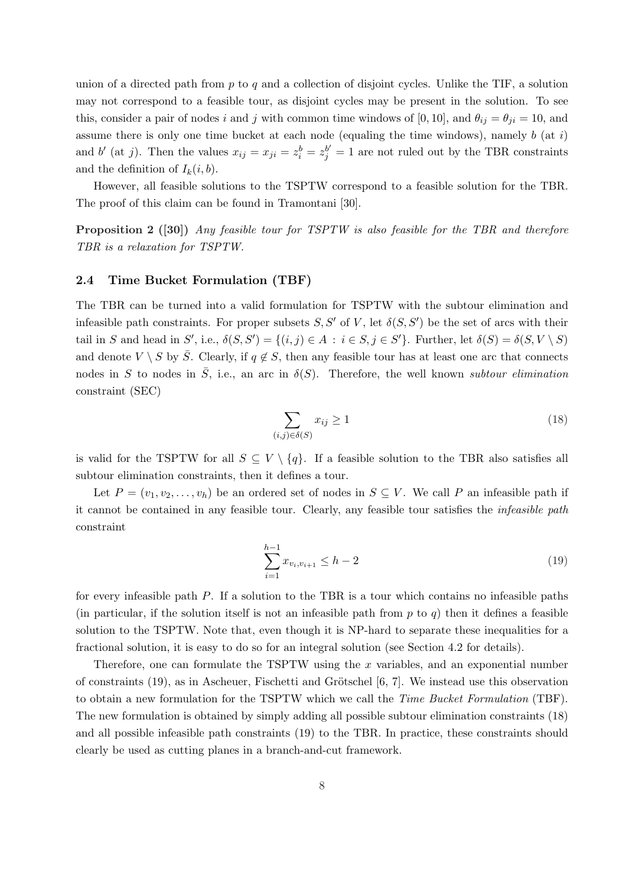union of a directed path from  $p$  to  $q$  and a collection of disjoint cycles. Unlike the TIF, a solution may not correspond to a feasible tour, as disjoint cycles may be present in the solution. To see this, consider a pair of nodes i and j with common time windows of [0, 10], and  $\theta_{ij} = \theta_{ji} = 10$ , and assume there is only one time bucket at each node (equaling the time windows), namely  $b$  (at  $i$ ) and b' (at j). Then the values  $x_{ij} = x_{ji} = z_i^b = z_j^{b'} = 1$  are not ruled out by the TBR constraints and the definition of  $I_k(i, b)$ .

However, all feasible solutions to the TSPTW correspond to a feasible solution for the TBR. The proof of this claim can be found in Tramontani [30].

Proposition 2 ([30]) Any feasible tour for TSPTW is also feasible for the TBR and therefore TBR is a relaxation for TSPTW.

### 2.4 Time Bucket Formulation (TBF)

The TBR can be turned into a valid formulation for TSPTW with the subtour elimination and infeasible path constraints. For proper subsets  $S, S'$  of V, let  $\delta(S, S')$  be the set of arcs with their tail in S and head in S', i.e.,  $\delta(S, S') = \{(i, j) \in A : i \in S, j \in S'\}$ . Further, let  $\delta(S) = \delta(S, V \setminus S)$ and denote  $V \setminus S$  by  $\overline{S}$ . Clearly, if  $q \notin S$ , then any feasible tour has at least one arc that connects nodes in S to nodes in  $\overline{S}$ , i.e., an arc in  $\delta(S)$ . Therefore, the well known subtour elimination constraint (SEC)

$$
\sum_{(i,j)\in\delta(S)} x_{ij} \ge 1\tag{18}
$$

is valid for the TSPTW for all  $S \subseteq V \setminus \{q\}$ . If a feasible solution to the TBR also satisfies all subtour elimination constraints, then it defines a tour.

Let  $P = (v_1, v_2, \ldots, v_h)$  be an ordered set of nodes in  $S \subseteq V$ . We call P an infeasible path if it cannot be contained in any feasible tour. Clearly, any feasible tour satisfies the infeasible path constraint

$$
\sum_{i=1}^{h-1} x_{v_i, v_{i+1}} \le h - 2 \tag{19}
$$

for every infeasible path P. If a solution to the TBR is a tour which contains no infeasible paths (in particular, if the solution itself is not an infeasible path from  $p$  to  $q$ ) then it defines a feasible solution to the TSPTW. Note that, even though it is NP-hard to separate these inequalities for a fractional solution, it is easy to do so for an integral solution (see Section 4.2 for details).

Therefore, one can formulate the TSPTW using the  $x$  variables, and an exponential number of constraints  $(19)$ , as in Ascheuer, Fischetti and Grötschel [6, 7]. We instead use this observation to obtain a new formulation for the TSPTW which we call the Time Bucket Formulation (TBF). The new formulation is obtained by simply adding all possible subtour elimination constraints (18) and all possible infeasible path constraints (19) to the TBR. In practice, these constraints should clearly be used as cutting planes in a branch-and-cut framework.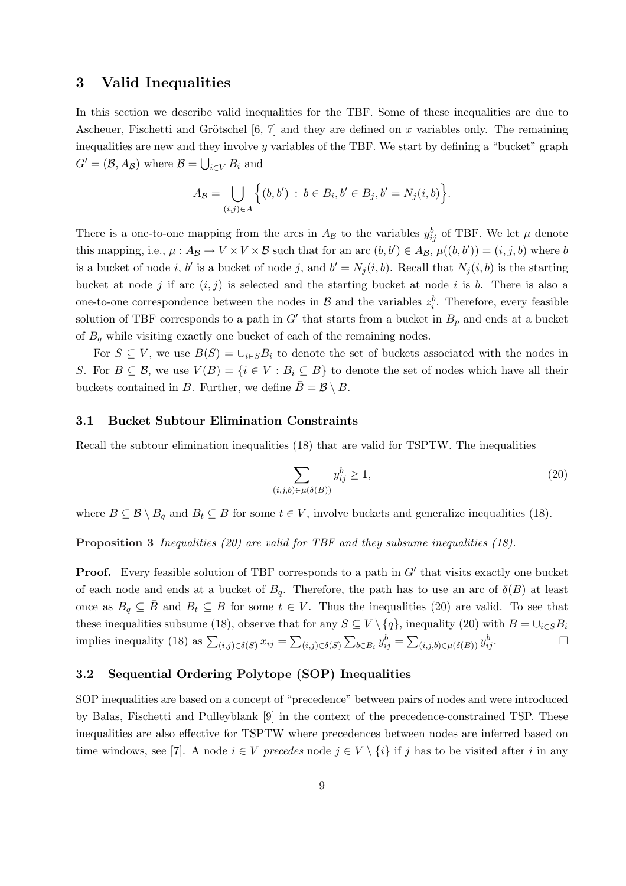# 3 Valid Inequalities

In this section we describe valid inequalities for the TBF. Some of these inequalities are due to Ascheuer, Fischetti and Grötschel [6, 7] and they are defined on x variables only. The remaining inequalities are new and they involve  $\eta$  variables of the TBF. We start by defining a "bucket" graph  $G' = (\mathcal{B}, A_{\mathcal{B}})$  where  $\mathcal{B} = \bigcup$  $_{i\in V} B_i$  and

$$
A_{\mathcal{B}} = \bigcup_{(i,j)\in A} \Big\{ (b,b') \ : \ b \in B_i, b' \in B_j, b' = N_j(i,b) \Big\}.
$$

There is a one-to-one mapping from the arcs in  $A_{\mathcal{B}}$  to the variables  $y_{ij}^b$  of TBF. We let  $\mu$  denote this mapping, i.e.,  $\mu: A_{\mathcal{B}} \to V \times V \times \mathcal{B}$  such that for an arc  $(b, b') \in A_{\mathcal{B}}$ ,  $\mu((b, b')) = (i, j, b)$  where b is a bucket of node i, b' is a bucket of node j, and  $b' = N_j(i, b)$ . Recall that  $N_j(i, b)$  is the starting bucket at node j if arc  $(i, j)$  is selected and the starting bucket at node i is b. There is also a one-to-one correspondence between the nodes in  $\mathcal{B}$  and the variables  $z_i^b$ . Therefore, every feasible solution of TBF corresponds to a path in  $G'$  that starts from a bucket in  $B_p$  and ends at a bucket of  $B_q$  while visiting exactly one bucket of each of the remaining nodes.

For  $S \subseteq V$ , we use  $B(S) = \bigcup_{i \in S} B_i$  to denote the set of buckets associated with the nodes in S. For  $B \subseteq \mathcal{B}$ , we use  $V(B) = \{i \in V : B_i \subseteq B\}$  to denote the set of nodes which have all their buckets contained in B. Further, we define  $\bar{B} = \mathcal{B} \setminus B$ .

### 3.1 Bucket Subtour Elimination Constraints

Recall the subtour elimination inequalities (18) that are valid for TSPTW. The inequalities

$$
\sum_{(i,j,b)\in\mu(\delta(B))} y_{ij}^b \ge 1,\tag{20}
$$

where  $B \subseteq \mathcal{B} \setminus B_q$  and  $B_t \subseteq B$  for some  $t \in V$ , involve buckets and generalize inequalities (18).

Proposition 3 Inequalities (20) are valid for TBF and they subsume inequalities (18).

**Proof.** Every feasible solution of TBF corresponds to a path in  $G'$  that visits exactly one bucket of each node and ends at a bucket of  $B_q$ . Therefore, the path has to use an arc of  $\delta(B)$  at least once as  $B_q \subseteq \overline{B}$  and  $B_t \subseteq B$  for some  $t \in V$ . Thus the inequalities (20) are valid. To see that these inequalities subsume (18), observe that for any  $S \subseteq V \setminus \{q\}$ , inequality (20) with  $B = \cup_{i \in S} B_i$ implies inequality (18) as  $\sum_{(i,j)\in\delta(S)} x_{ij} =$  $\overline{ }$  $(i,j)\in\delta(S)$  $\overline{a}$  $b \in B_i$   $y_{ij}^b =$  $\overline{\phantom{a}}$  $(i,j,b)\in\mu(\delta(B))$   $y_{ij}^b$ .

## 3.2 Sequential Ordering Polytope (SOP) Inequalities

SOP inequalities are based on a concept of "precedence" between pairs of nodes and were introduced by Balas, Fischetti and Pulleyblank [9] in the context of the precedence-constrained TSP. These inequalities are also effective for TSPTW where precedences between nodes are inferred based on time windows, see [7]. A node  $i \in V$  precedes node  $j \in V \setminus \{i\}$  if j has to be visited after i in any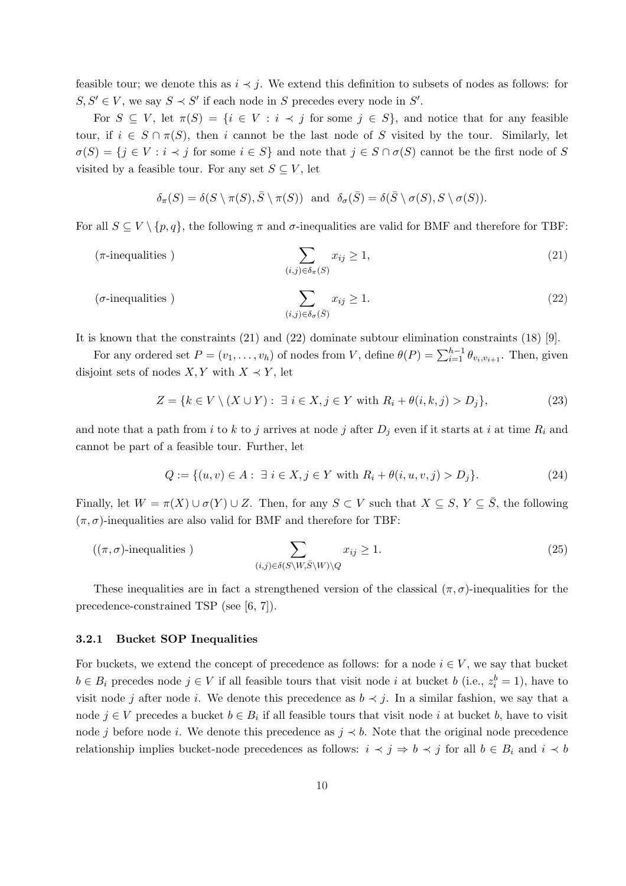feasible tour; we denote this as  $i \prec j$ . We extend this definition to subsets of nodes as follows: for  $S, S' \in V$ , we say  $S \prec S'$  if each node in S precedes every node in S'.

For  $S \subseteq V$ , let  $\pi(S) = \{i \in V : i \prec j \text{ for some } j \in S\}$ , and notice that for any feasible tour, if  $i \in S \cap \pi(S)$ , then i cannot be the last node of S visited by the tour. Similarly, let  $\sigma(S) = \{j \in V : i \prec j \text{ for some } i \in S\}$  and note that  $j \in S \cap \sigma(S)$  cannot be the first node of S visited by a feasible tour. For any set  $S \subseteq V$ , let

$$
\delta_{\pi}(S) = \delta(S \setminus \pi(S), \overline{S} \setminus \pi(S)) \text{ and } \delta_{\sigma}(\overline{S}) = \delta(\overline{S} \setminus \sigma(S), S \setminus \sigma(S)).
$$

For all  $S \subseteq V \setminus \{p, q\}$ , the following  $\pi$  and  $\sigma$ -inequalities are valid for BMF and therefore for TBF:

$$
\sum_{(i,j)\in\delta_{\pi}(S)} x_{ij} \ge 1,\tag{21}
$$

$$
\sum_{(i,j)\in\delta_{\sigma}(\bar{S})} x_{ij} \ge 1.
$$
\n
$$
(22)
$$

It is known that the constraints (21) and (22) dominate subtour elimination constraints (18) [9].

For any ordered set  $P = (v_1, \ldots, v_h)$  of nodes from V, define  $\theta(P) = \sum_{i=1}^{h-1} \theta_{v_i, v_{i+1}}$ . Then, given disjoint sets of nodes  $X, Y$  with  $X \prec Y$ , let

$$
Z = \{k \in V \setminus (X \cup Y) : \exists i \in X, j \in Y \text{ with } R_i + \theta(i, k, j) > D_j\},\tag{23}
$$

and note that a path from i to k to j arrives at node j after  $D_j$  even if it starts at i at time  $R_i$  and cannot be part of a feasible tour. Further, let

$$
Q := \{(u, v) \in A : \exists i \in X, j \in Y \text{ with } R_i + \theta(i, u, v, j) > D_j\}.
$$
\n(24)

Finally, let  $W = \pi(X) \cup \sigma(Y) \cup Z$ . Then, for any  $S \subset V$  such that  $X \subseteq S$ ,  $Y \subseteq \overline{S}$ , the following  $(\pi, \sigma)$ -inequalities are also valid for BMF and therefore for TBF:

$$
((\pi,\sigma)\text{-inequalities}) \qquad \qquad \sum_{(i,j)\in\delta(S\setminus W,\bar{S}\setminus W)\setminus Q} x_{ij} \ge 1. \tag{25}
$$

These inequalities are in fact a strengthened version of the classical  $(\pi, \sigma)$ -inequalities for the precedence-constrained TSP (see [6, 7]).

### 3.2.1 Bucket SOP Inequalities

For buckets, we extend the concept of precedence as follows: for a node  $i \in V$ , we say that bucket  $b \in B_i$  precedes node  $j \in V$  if all feasible tours that visit node i at bucket b (i.e.,  $z_i^b = 1$ ), have to visit node j after node i. We denote this precedence as  $b \prec j$ . In a similar fashion, we say that a node  $j \in V$  precedes a bucket  $b \in B_i$  if all feasible tours that visit node i at bucket b, have to visit node j before node i. We denote this precedence as  $j \prec b$ . Note that the original node precedence relationship implies bucket-node precedences as follows:  $i \prec j \Rightarrow b \prec j$  for all  $b \in B_i$  and  $i \prec b$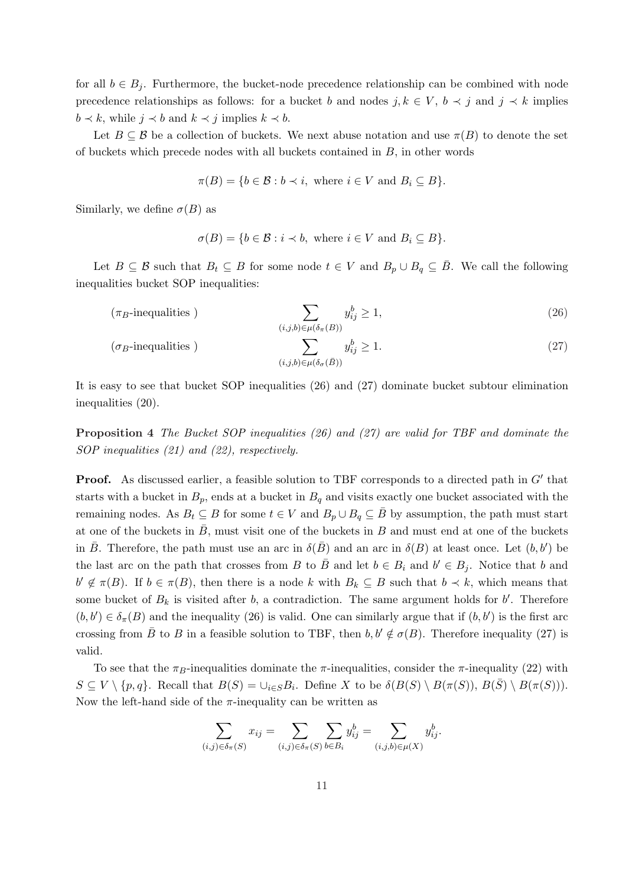for all  $b \in B_j$ . Furthermore, the bucket-node precedence relationship can be combined with node precedence relationships as follows: for a bucket b and nodes  $j, k \in V$ ,  $b \prec j$  and  $j \prec k$  implies  $b \prec k$ , while  $j \prec b$  and  $k \prec j$  implies  $k \prec b$ .

Let  $B \subseteq \mathcal{B}$  be a collection of buckets. We next abuse notation and use  $\pi(B)$  to denote the set of buckets which precede nodes with all buckets contained in B, in other words

$$
\pi(B) = \{b \in \mathcal{B} : b \prec i, \text{ where } i \in V \text{ and } B_i \subseteq B\}.
$$

Similarly, we define  $\sigma(B)$  as

$$
\sigma(B) = \{b \in \mathcal{B} : i \prec b, \text{ where } i \in V \text{ and } B_i \subseteq B\}.
$$

Let  $B \subseteq \mathcal{B}$  such that  $B_t \subseteq B$  for some node  $t \in V$  and  $B_p \cup B_q \subseteq \overline{B}$ . We call the following inequalities bucket SOP inequalities:

$$
(\pi_B\text{-inequalities}) \sum_{(i,j,b)\in\mu(\delta_\pi(B))} y_{ij}^b \ge 1,
$$
\n
$$
(\sigma_B\text{-inequalities}) \sum_{(i,j,b)\in\mu(\delta_\sigma(\bar{B}))} y_{ij}^b \ge 1.
$$
\n
$$
(27)
$$

It is easy to see that bucket SOP inequalities (26) and (27) dominate bucket subtour elimination inequalities (20).

Proposition 4 The Bucket SOP inequalities (26) and (27) are valid for TBF and dominate the SOP inequalities (21) and (22), respectively.

**Proof.** As discussed earlier, a feasible solution to TBF corresponds to a directed path in  $G'$  that starts with a bucket in  $B_p$ , ends at a bucket in  $B_q$  and visits exactly one bucket associated with the remaining nodes. As  $B_t \subseteq B$  for some  $t \in V$  and  $B_p \cup B_q \subseteq \overline{B}$  by assumption, the path must start at one of the buckets in  $\bar{B}$ , must visit one of the buckets in B and must end at one of the buckets in  $\bar{B}$ . Therefore, the path must use an arc in  $\delta(\bar{B})$  and an arc in  $\delta(B)$  at least once. Let  $(b, b')$  be the last arc on the path that crosses from B to  $\overline{B}$  and let  $b \in B_i$  and  $b' \in B_j$ . Notice that b and  $b' \notin \pi(B)$ . If  $b \in \pi(B)$ , then there is a node k with  $B_k \subseteq B$  such that  $b \prec k$ , which means that some bucket of  $B_k$  is visited after b, a contradiction. The same argument holds for b'. Therefore  $(b, b') \in \delta_{\pi}(B)$  and the inequality (26) is valid. One can similarly argue that if  $(b, b')$  is the first arc crossing from  $\bar{B}$  to B in a feasible solution to TBF, then  $b, b' \notin \sigma(B)$ . Therefore inequality (27) is valid.

To see that the  $\pi_B$ -inequalities dominate the  $\pi$ -inequalities, consider the  $\pi$ -inequality (22) with  $S \subseteq V \setminus \{p,q\}$ . Recall that  $B(S) = \bigcup_{i \in S} B_i$ . Define X to be  $\delta(B(S) \setminus B(\pi(S)), B(\overline{S}) \setminus B(\pi(S))).$ Now the left-hand side of the  $\pi$ -inequality can be written as

$$
\sum_{(i,j)\in \delta_{\pi}(S)} x_{ij} = \sum_{(i,j)\in \delta_{\pi}(S)} \sum_{b\in B_i} y_{ij}^b = \sum_{(i,j,b)\in \mu(X)} y_{ij}^b.
$$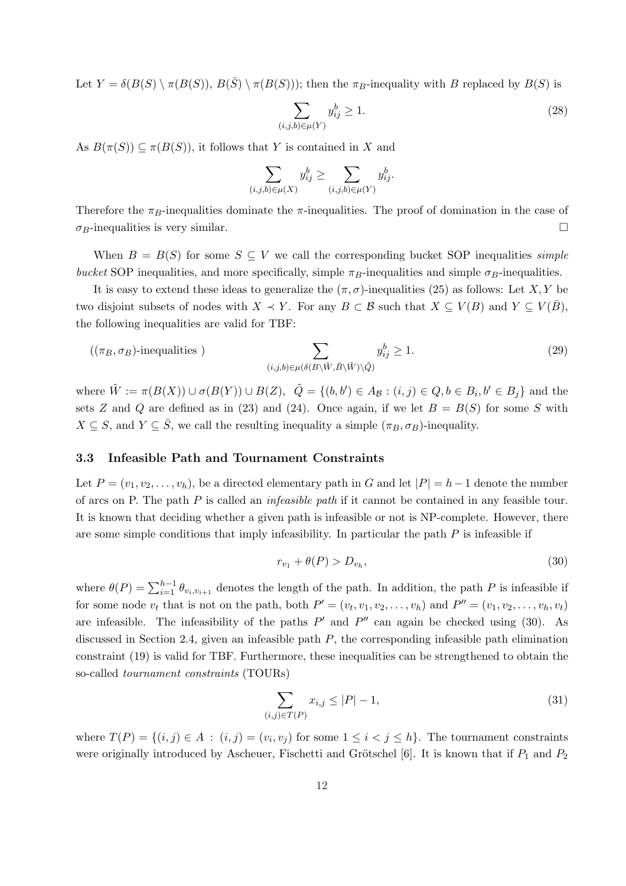Let  $Y = \delta(B(S) \setminus \pi(B(S)), B(\overline{S}) \setminus \pi(B(S)))$ ; then the  $\pi_B$ -inequality with B replaced by  $B(S)$  is

$$
\sum_{(i,j,b)\in\mu(Y)} y_{ij}^b \ge 1.
$$
\n(28)

As  $B(\pi(S)) \subseteq \pi(B(S))$ , it follows that Y is contained in X and

$$
\sum_{(i,j,b)\in\mu(X)} y_{ij}^b \ge \sum_{(i,j,b)\in\mu(Y)} y_{ij}^b.
$$

Therefore the  $\pi_B$ -inequalities dominate the  $\pi$ -inequalities. The proof of domination in the case of  $\sigma_B$ -inequalities is very similar.  $\Box$ 

When  $B = B(S)$  for some  $S \subseteq V$  we call the corresponding bucket SOP inequalities *simple* bucket SOP inequalities, and more specifically, simple  $\pi_B$ -inequalities and simple  $\sigma_B$ -inequalities.

It is easy to extend these ideas to generalize the  $(\pi, \sigma)$ -inequalities (25) as follows: Let X, Y be two disjoint subsets of nodes with  $X \prec Y$ . For any  $B \subset \mathcal{B}$  such that  $X \subset V(B)$  and  $Y \subset V(\overline{B})$ , the following inequalities are valid for TBF:

$$
((\pi_B, \sigma_B)\text{-inequalities}) \qquad \qquad \sum_{(i,j,b)\in\mu(\delta(B\setminus\tilde{W}, \bar{B}\setminus\tilde{W})\setminus\tilde{Q})} y_{ij}^b \ge 1. \tag{29}
$$

where  $\tilde{W} := \pi(B(X)) \cup \sigma(B(Y)) \cup B(Z)$ ,  $\tilde{Q} = \{(b, b') \in A_{\mathcal{B}} : (i, j) \in Q, b \in B_i, b' \in B_j\}$  and the sets Z and Q are defined as in (23) and (24). Once again, if we let  $B = B(S)$  for some S with  $X \subseteq S$ , and  $Y \subseteq \overline{S}$ , we call the resulting inequality a simple  $(\pi_B, \sigma_B)$ -inequality.

#### 3.3 Infeasible Path and Tournament Constraints

Let  $P = (v_1, v_2, \ldots, v_h)$ , be a directed elementary path in G and let  $|P| = h - 1$  denote the number of arcs on P. The path  $P$  is called an *infeasible path* if it cannot be contained in any feasible tour. It is known that deciding whether a given path is infeasible or not is NP-complete. However, there are some simple conditions that imply infeasibility. In particular the path  $P$  is infeasible if

$$
r_{v_1} + \theta(P) > D_{v_h},\tag{30}
$$

where  $\theta(P) = \sum_{i=1}^{h-1} \theta_{v_i, v_{i+1}}$  denotes the length of the path. In addition, the path P is infeasible if for some node  $v_t$  that is not on the path, both  $P' = (v_t, v_1, v_2, \dots, v_h)$  and  $P'' = (v_1, v_2, \dots, v_h, v_t)$ are infeasible. The infeasibility of the paths  $P'$  and  $P''$  can again be checked using (30). As discussed in Section 2.4, given an infeasible path  $P$ , the corresponding infeasible path elimination constraint (19) is valid for TBF. Furthermore, these inequalities can be strengthened to obtain the so-called tournament constraints (TOURs)

$$
\sum_{(i,j)\in T(P)} x_{i,j} \le |P| - 1,\tag{31}
$$

where  $T(P) = \{(i, j) \in A : (i, j) = (v_i, v_j) \text{ for some } 1 \leq i < j \leq h\}$ . The tournament constraints were originally introduced by Ascheuer, Fischetti and Grötschel [6]. It is known that if  $P_1$  and  $P_2$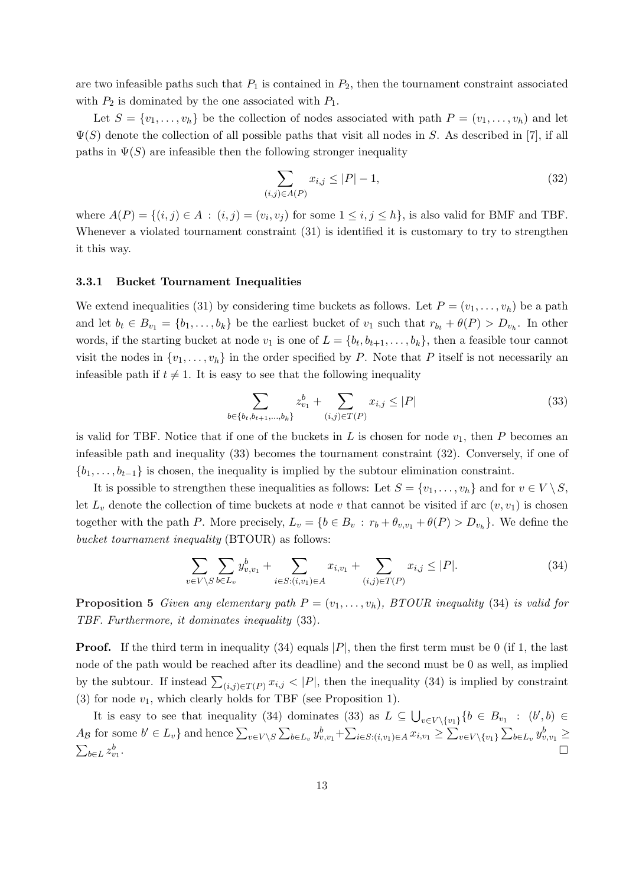are two infeasible paths such that  $P_1$  is contained in  $P_2$ , then the tournament constraint associated with  $P_2$  is dominated by the one associated with  $P_1$ .

Let  $S = \{v_1, \ldots, v_h\}$  be the collection of nodes associated with path  $P = (v_1, \ldots, v_h)$  and let  $\Psi(S)$  denote the collection of all possible paths that visit all nodes in S. As described in [7], if all paths in  $\Psi(S)$  are infeasible then the following stronger inequality

$$
\sum_{(i,j)\in A(P)} x_{i,j} \le |P| - 1,\tag{32}
$$

where  $A(P) = \{(i, j) \in A : (i, j) = (v_i, v_j) \text{ for some } 1 \le i, j \le h\}$ , is also valid for BMF and TBF. Whenever a violated tournament constraint (31) is identified it is customary to try to strengthen it this way.

#### 3.3.1 Bucket Tournament Inequalities

We extend inequalities (31) by considering time buckets as follows. Let  $P = (v_1, \ldots, v_h)$  be a path and let  $b_t \in B_{v_1} = \{b_1, \ldots, b_k\}$  be the earliest bucket of  $v_1$  such that  $r_{b_t} + \theta(P) > D_{v_h}$ . In other words, if the starting bucket at node  $v_1$  is one of  $L = \{b_t, b_{t+1}, \ldots, b_k\}$ , then a feasible tour cannot visit the nodes in  $\{v_1, \ldots, v_h\}$  in the order specified by P. Note that P itself is not necessarily an infeasible path if  $t \neq 1$ . It is easy to see that the following inequality

$$
\sum_{b \in \{b_t, b_{t+1}, \dots, b_k\}} z_{v_1}^b + \sum_{(i,j) \in T(P)} x_{i,j} \le |P|
$$
\n(33)

is valid for TBF. Notice that if one of the buckets in L is chosen for node  $v_1$ , then P becomes an infeasible path and inequality (33) becomes the tournament constraint (32). Conversely, if one of  ${b_1, \ldots, b_{t-1}}$  is chosen, the inequality is implied by the subtour elimination constraint.

It is possible to strengthen these inequalities as follows: Let  $S = \{v_1, \ldots, v_h\}$  and for  $v \in V \setminus S$ , let  $L_v$  denote the collection of time buckets at node v that cannot be visited if arc  $(v, v_1)$  is chosen together with the path P. More precisely,  $L_v = \{b \in B_v : r_b + \theta_{v,v_1} + \theta(P) > D_{v_h}\}\.$  We define the bucket tournament inequality (BTOUR) as follows:

$$
\sum_{v \in V \setminus S} \sum_{b \in L_v} y_{v, v_1}^b + \sum_{i \in S: (i, v_1) \in A} x_{i, v_1} + \sum_{(i, j) \in T(P)} x_{i, j} \le |P|. \tag{34}
$$

**Proposition 5** Given any elementary path  $P = (v_1, \ldots, v_h)$ , BTOUR inequality (34) is valid for TBF. Furthermore, it dominates inequality (33).

**Proof.** If the third term in inequality (34) equals  $|P|$ , then the first term must be 0 (if 1, the last node of the path would be reached after its deadline) and the second must be 0 as well, as implied by the subtour. If instead  $\sum_{(i,j)\in T(P)} x_{i,j} < |P|$ , then the inequality (34) is implied by constraint (3) for node  $v_1$ , which clearly holds for TBF (see Proposition 1). S

It is easy to see that inequality (34) dominates (33) as  $L \subseteq$  $v \in V \setminus \{v_1\}$  { $b \in B_{v_1} : (b', b) \in$  $A_{\mathcal{B}}$  for some  $b' \in L_v$  and hence  $\sum_{v \in V \setminus S}$  $\overline{ }$  $_{b\in L_v} y_{v,v_1}^b +$  $\tilde{P}$  $i \in S$ : $(i,v_1) \in A$   $x_{i,v_1}$  ≥  $\frac{v_1}{\sqrt{v_1}}$  $v\in V\backslash\{v_1\}$  $\overline{ }$  $A_{\mathcal{B}}$  for some  $b' \in L_v$  and hence  $\sum_{v \in V \setminus S} \sum_{b \in L_v} y_{v, v_1}^b + \sum_{i \in S: (i, v_1) \in A} x_{i, v_1} \ge \sum_{v \in V \setminus \{v_1\}} \sum_{b \in L_v} y_{v, v_1}^b \ge$  $_{b\in L}z_{v_{1}}^{b}$ . ¤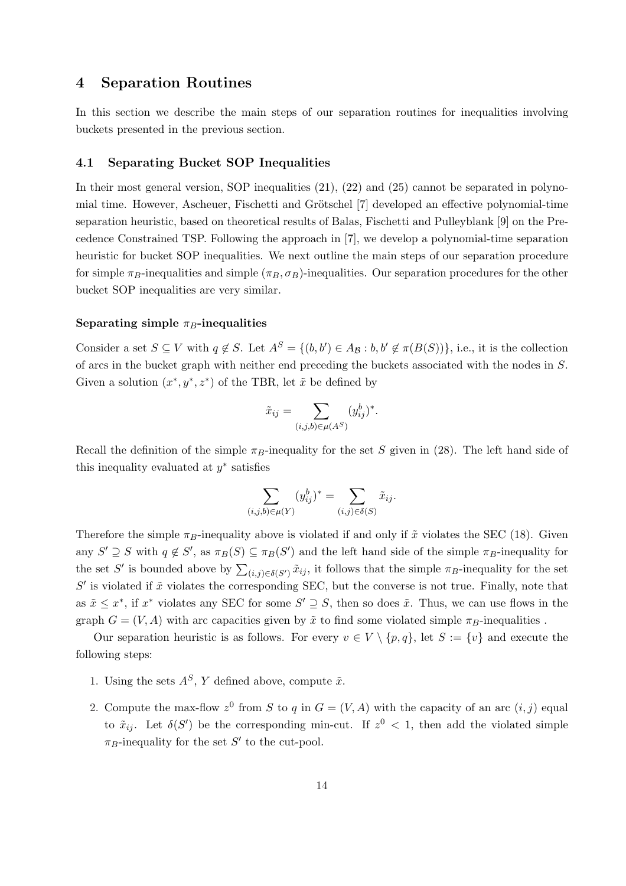# 4 Separation Routines

In this section we describe the main steps of our separation routines for inequalities involving buckets presented in the previous section.

### 4.1 Separating Bucket SOP Inequalities

In their most general version, SOP inequalities  $(21)$ ,  $(22)$  and  $(25)$  cannot be separated in polynomial time. However, Ascheuer, Fischetti and Grötschel [7] developed an effective polynomial-time separation heuristic, based on theoretical results of Balas, Fischetti and Pulleyblank [9] on the Precedence Constrained TSP. Following the approach in [7], we develop a polynomial-time separation heuristic for bucket SOP inequalities. We next outline the main steps of our separation procedure for simple  $\pi_B$ -inequalities and simple  $(\pi_B, \sigma_B)$ -inequalities. Our separation procedures for the other bucket SOP inequalities are very similar.

### Separating simple  $\pi_B$ -inequalities

Consider a set  $S \subseteq V$  with  $q \notin S$ . Let  $A^S = \{(b, b') \in A_{\mathcal{B}} : b, b' \notin \pi(B(S))\}$ , i.e., it is the collection of arcs in the bucket graph with neither end preceding the buckets associated with the nodes in S. Given a solution  $(x^*, y^*, z^*)$  of the TBR, let  $\tilde{x}$  be defined by

$$
\tilde{x}_{ij} = \sum_{(i,j,b)\in\mu(A^S)} (y_{ij}^b)^*
$$

.

Recall the definition of the simple  $\pi_B$ -inequality for the set S given in (28). The left hand side of this inequality evaluated at  $y^*$  satisfies

$$
\sum_{(i,j,b)\in\mu(Y)} (y_{ij}^b)^* = \sum_{(i,j)\in\delta(S)} \tilde{x}_{ij}.
$$

Therefore the simple  $\pi_B$ -inequality above is violated if and only if  $\tilde{x}$  violates the SEC (18). Given any  $S' \supseteq S$  with  $q \notin S'$ , as  $\pi_B(S) \subseteq \pi_B(S')$  and the left hand side of the simple  $\pi_B$ -inequality for the set S' is bounded above by  $\sum_{(i,j)\in\delta(S')} \tilde{x}_{ij}$ , it follows that the simple  $\pi_B$ -inequality for the set  $S'$  is violated if  $\tilde{x}$  violates the corresponding SEC, but the converse is not true. Finally, note that as  $\tilde{x} \leq x^*$ , if  $x^*$  violates any SEC for some  $S' \supseteq S$ , then so does  $\tilde{x}$ . Thus, we can use flows in the graph  $G = (V, A)$  with arc capacities given by  $\tilde{x}$  to find some violated simple  $\pi_B$ -inequalities.

Our separation heuristic is as follows. For every  $v \in V \setminus \{p,q\}$ , let  $S := \{v\}$  and execute the following steps:

- 1. Using the sets  $A^S$ , Y defined above, compute  $\tilde{x}$ .
- 2. Compute the max-flow  $z^0$  from S to q in  $G = (V, A)$  with the capacity of an arc  $(i, j)$  equal to  $\tilde{x}_{ij}$ . Let  $\delta(S')$  be the corresponding min-cut. If  $z^0$  < 1, then add the violated simple  $\pi_B$ -inequality for the set S' to the cut-pool.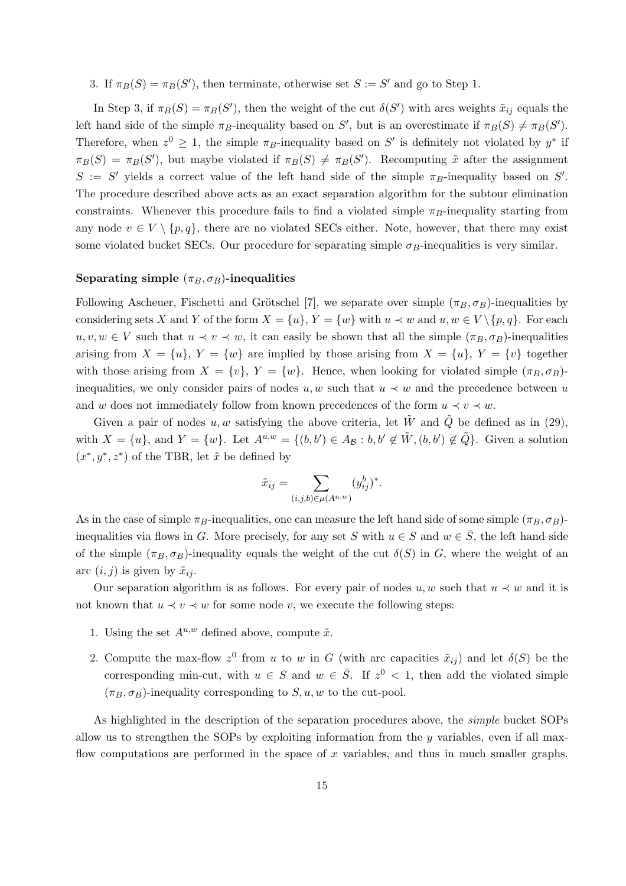# 3. If  $\pi_B(S) = \pi_B(S')$ , then terminate, otherwise set  $S := S'$  and go to Step 1.

In Step 3, if  $\pi_B(S) = \pi_B(S')$ , then the weight of the cut  $\delta(S')$  with arcs weights  $\tilde{x}_{ij}$  equals the left hand side of the simple  $\pi_B$ -inequality based on S', but is an overestimate if  $\pi_B(S) \neq \pi_B(S')$ . Therefore, when  $z^0 \geq 1$ , the simple  $\pi_B$ -inequality based on S' is definitely not violated by  $y^*$  if  $\pi_B(S) = \pi_B(S')$ , but maybe violated if  $\pi_B(S) \neq \pi_B(S')$ . Recomputing  $\tilde{x}$  after the assignment  $S := S'$  yields a correct value of the left hand side of the simple  $\pi_B$ -inequality based on S'. The procedure described above acts as an exact separation algorithm for the subtour elimination constraints. Whenever this procedure fails to find a violated simple  $\pi_B$ -inequality starting from any node  $v \in V \setminus \{p, q\}$ , there are no violated SECs either. Note, however, that there may exist some violated bucket SECs. Our procedure for separating simple  $\sigma_B$ -inequalities is very similar.

#### Separating simple  $(\pi_B, \sigma_B)$ -inequalities

Following Ascheuer, Fischetti and Grötschel [7], we separate over simple  $(\pi_B, \sigma_B)$ -inequalities by considering sets X and Y of the form  $X = \{u\}$ ,  $Y = \{w\}$  with  $u \prec w$  and  $u, w \in V \setminus \{p, q\}$ . For each  $u, v, w \in V$  such that  $u \prec v \prec w$ , it can easily be shown that all the simple  $(\pi_B, \sigma_B)$ -inequalities arising from  $X = \{u\}$ ,  $Y = \{w\}$  are implied by those arising from  $X = \{u\}$ ,  $Y = \{v\}$  together with those arising from  $X = \{v\}$ ,  $Y = \{w\}$ . Hence, when looking for violated simple  $(\pi_B, \sigma_B)$ inequalities, we only consider pairs of nodes u, w such that  $u \prec w$  and the precedence between u and w does not immediately follow from known precedences of the form  $u \prec v \prec w$ .

Given a pair of nodes u, w satisfying the above criteria, let  $\tilde{W}$  and  $\tilde{Q}$  be defined as in (29), with  $X = \{u\}$ , and  $Y = \{w\}$ . Let  $A^{u,w} = \{(b,b') \in A_{\mathcal{B}} : b, b' \notin \tilde{W}, (b,b') \notin \tilde{Q}\}$ . Given a solution  $(x^*, y^*, z^*)$  of the TBR, let  $\tilde{x}$  be defined by

$$
\tilde{x}_{ij} = \sum_{(i,j,b)\in \mu(A^{u,w})} (y_{ij}^b)^*.
$$

As in the case of simple  $\pi_B$ -inequalities, one can measure the left hand side of some simple  $(\pi_B, \sigma_B)$ inequalities via flows in G. More precisely, for any set S with  $u \in S$  and  $w \in \overline{S}$ , the left hand side of the simple  $(\pi_B, \sigma_B)$ -inequality equals the weight of the cut  $\delta(S)$  in G, where the weight of an arc  $(i, j)$  is given by  $\tilde{x}_{ij}$ .

Our separation algorithm is as follows. For every pair of nodes  $u, w$  such that  $u \prec w$  and it is not known that  $u \prec v \prec w$  for some node v, we execute the following steps:

- 1. Using the set  $A^{u,w}$  defined above, compute  $\tilde{x}$ .
- 2. Compute the max-flow  $z^0$  from u to w in G (with arc capacities  $\tilde{x}_{ij}$ ) and let  $\delta(S)$  be the corresponding min-cut, with  $u \in S$  and  $w \in \overline{S}$ . If  $z^0 < 1$ , then add the violated simple  $(\pi_B, \sigma_B)$ -inequality corresponding to  $S, u, w$  to the cut-pool.

As highlighted in the description of the separation procedures above, the *simple* bucket SOPs allow us to strengthen the SOPs by exploiting information from the  $y$  variables, even if all maxflow computations are performed in the space of  $x$  variables, and thus in much smaller graphs.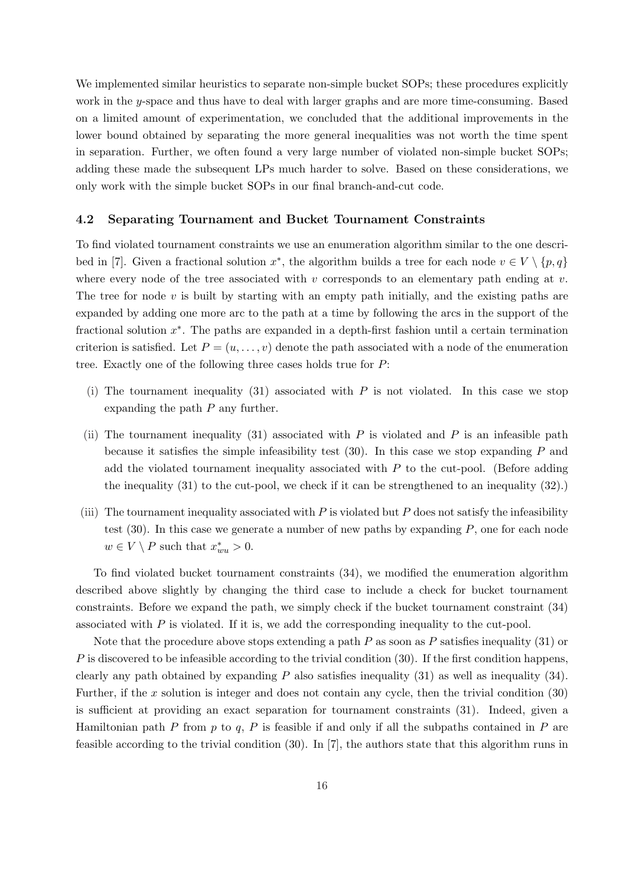We implemented similar heuristics to separate non-simple bucket SOPs; these procedures explicitly work in the y-space and thus have to deal with larger graphs and are more time-consuming. Based on a limited amount of experimentation, we concluded that the additional improvements in the lower bound obtained by separating the more general inequalities was not worth the time spent in separation. Further, we often found a very large number of violated non-simple bucket SOPs; adding these made the subsequent LPs much harder to solve. Based on these considerations, we only work with the simple bucket SOPs in our final branch-and-cut code.

#### 4.2 Separating Tournament and Bucket Tournament Constraints

To find violated tournament constraints we use an enumeration algorithm similar to the one described in [7]. Given a fractional solution  $x^*$ , the algorithm builds a tree for each node  $v \in V \setminus \{p, q\}$ where every node of the tree associated with v corresponds to an elementary path ending at v. The tree for node  $v$  is built by starting with an empty path initially, and the existing paths are expanded by adding one more arc to the path at a time by following the arcs in the support of the fractional solution  $x^*$ . The paths are expanded in a depth-first fashion until a certain termination criterion is satisfied. Let  $P = (u, \ldots, v)$  denote the path associated with a node of the enumeration tree. Exactly one of the following three cases holds true for P:

- (i) The tournament inequality (31) associated with  $P$  is not violated. In this case we stop expanding the path  $P$  any further.
- (ii) The tournament inequality (31) associated with  $P$  is violated and  $P$  is an infeasible path because it satisfies the simple infeasibility test  $(30)$ . In this case we stop expanding P and add the violated tournament inequality associated with  $P$  to the cut-pool. (Before adding the inequality (31) to the cut-pool, we check if it can be strengthened to an inequality (32).)
- (iii) The tournament inequality associated with  $P$  is violated but  $P$  does not satisfy the infeasibility test (30). In this case we generate a number of new paths by expanding P, one for each node  $w \in V \setminus P$  such that  $x_{wu}^* > 0$ .

To find violated bucket tournament constraints (34), we modified the enumeration algorithm described above slightly by changing the third case to include a check for bucket tournament constraints. Before we expand the path, we simply check if the bucket tournament constraint (34) associated with P is violated. If it is, we add the corresponding inequality to the cut-pool.

Note that the procedure above stops extending a path  $P$  as soon as  $P$  satisfies inequality (31) or  $P$  is discovered to be infeasible according to the trivial condition (30). If the first condition happens, clearly any path obtained by expanding P also satisfies inequality  $(31)$  as well as inequality  $(34)$ . Further, if the x solution is integer and does not contain any cycle, then the trivial condition  $(30)$ is sufficient at providing an exact separation for tournament constraints (31). Indeed, given a Hamiltonian path  $P$  from  $p$  to  $q$ ,  $P$  is feasible if and only if all the subpaths contained in  $P$  are feasible according to the trivial condition (30). In [7], the authors state that this algorithm runs in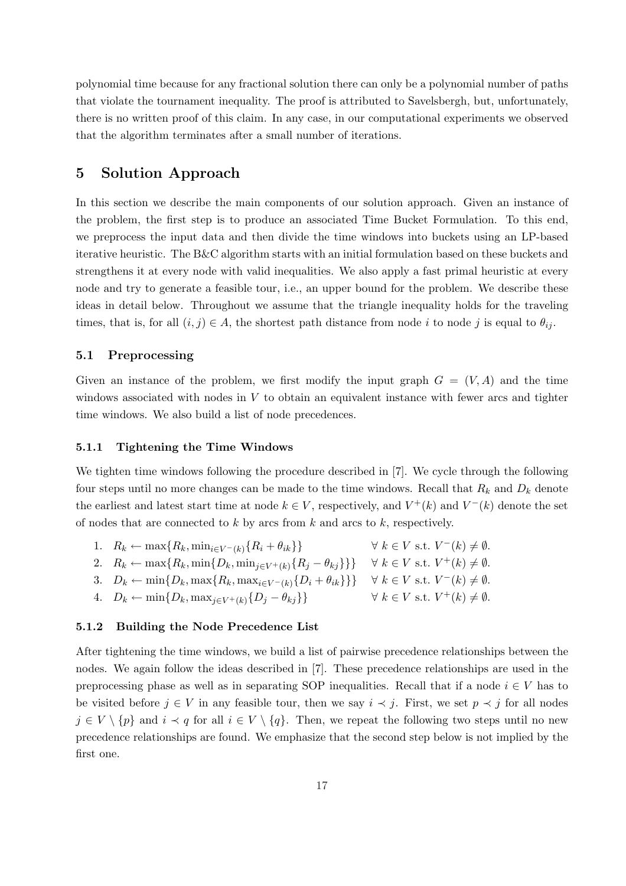polynomial time because for any fractional solution there can only be a polynomial number of paths that violate the tournament inequality. The proof is attributed to Savelsbergh, but, unfortunately, there is no written proof of this claim. In any case, in our computational experiments we observed that the algorithm terminates after a small number of iterations.

# 5 Solution Approach

In this section we describe the main components of our solution approach. Given an instance of the problem, the first step is to produce an associated Time Bucket Formulation. To this end, we preprocess the input data and then divide the time windows into buckets using an LP-based iterative heuristic. The B&C algorithm starts with an initial formulation based on these buckets and strengthens it at every node with valid inequalities. We also apply a fast primal heuristic at every node and try to generate a feasible tour, i.e., an upper bound for the problem. We describe these ideas in detail below. Throughout we assume that the triangle inequality holds for the traveling times, that is, for all  $(i, j) \in A$ , the shortest path distance from node i to node j is equal to  $\theta_{ij}$ .

### 5.1 Preprocessing

Given an instance of the problem, we first modify the input graph  $G = (V, A)$  and the time windows associated with nodes in  $V$  to obtain an equivalent instance with fewer arcs and tighter time windows. We also build a list of node precedences.

## 5.1.1 Tightening the Time Windows

We tighten time windows following the procedure described in [7]. We cycle through the following four steps until no more changes can be made to the time windows. Recall that  $R_k$  and  $D_k$  denote the earliest and latest start time at node  $k \in V$ , respectively, and  $V^+(k)$  and  $V^-(k)$  denote the set of nodes that are connected to  $k$  by arcs from  $k$  and arcs to  $k$ , respectively.

- 1.  $R_k \leftarrow \max\{R_k, \min_{i \in V^-(k)} \{R_i + \theta_{ik}\}\}$   $\forall k \in V \text{ s.t. } V^-(k) \neq \emptyset.$
- 2.  $R_k \leftarrow \max\{R_k, \min\{D_k, \min_{j \in V^+(k)} \{R_j \theta_{kj}\}\}\} \quad \forall \ k \in V \text{ s.t. } V^+(k) \neq \emptyset.$
- 3.  $D_k \leftarrow \min\{D_k, \max\{R_k, \max_{i \in V^-(k)}\{D_i + \theta_{ik}\}\}\} \quad \forall \ k \in V \text{ s.t. } V^-(k) \neq \emptyset.$
- 4.  $D_k \leftarrow \min\{D_k, \max_{j \in V^+(k)}\{D_j \theta_{kj}\}\}\$  $\forall k \in V$  s.t.  $V^+(k) \neq \emptyset$ .

#### 5.1.2 Building the Node Precedence List

After tightening the time windows, we build a list of pairwise precedence relationships between the nodes. We again follow the ideas described in [7]. These precedence relationships are used in the preprocessing phase as well as in separating SOP inequalities. Recall that if a node  $i \in V$  has to be visited before  $j \in V$  in any feasible tour, then we say  $i \prec j$ . First, we set  $p \prec j$  for all nodes  $j \in V \setminus \{p\}$  and  $i \prec q$  for all  $i \in V \setminus \{q\}$ . Then, we repeat the following two steps until no new precedence relationships are found. We emphasize that the second step below is not implied by the first one.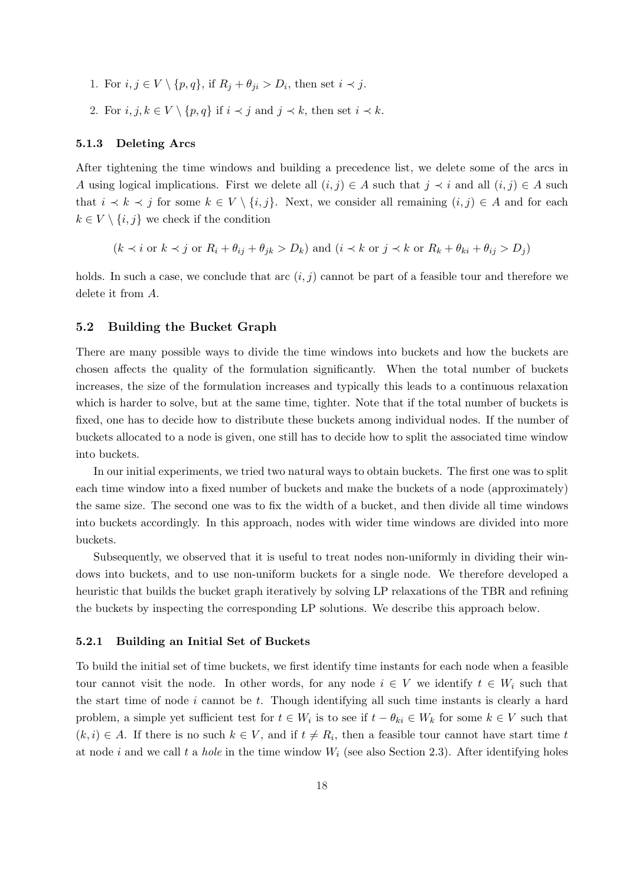- 1. For  $i, j \in V \setminus \{p, q\}$ , if  $R_j + \theta_{ji} > D_i$ , then set  $i \prec j$ .
- 2. For  $i, j, k \in V \setminus \{p, q\}$  if  $i \prec j$  and  $j \prec k$ , then set  $i \prec k$ .

#### 5.1.3 Deleting Arcs

After tightening the time windows and building a precedence list, we delete some of the arcs in A using logical implications. First we delete all  $(i, j) \in A$  such that  $j \prec i$  and all  $(i, j) \in A$  such that  $i \prec k \prec j$  for some  $k \in V \setminus \{i, j\}$ . Next, we consider all remaining  $(i, j) \in A$  and for each  $k \in V \setminus \{i,j\}$  we check if the condition

$$
(k \prec i \text{ or } k \prec j \text{ or } R_i + \theta_{ij} + \theta_{jk} > D_k)
$$
 and  $(i \prec k \text{ or } j \prec k \text{ or } R_k + \theta_{ki} + \theta_{ij} > D_j)$ 

holds. In such a case, we conclude that arc  $(i, j)$  cannot be part of a feasible tour and therefore we delete it from A.

#### 5.2 Building the Bucket Graph

There are many possible ways to divide the time windows into buckets and how the buckets are chosen affects the quality of the formulation significantly. When the total number of buckets increases, the size of the formulation increases and typically this leads to a continuous relaxation which is harder to solve, but at the same time, tighter. Note that if the total number of buckets is fixed, one has to decide how to distribute these buckets among individual nodes. If the number of buckets allocated to a node is given, one still has to decide how to split the associated time window into buckets.

In our initial experiments, we tried two natural ways to obtain buckets. The first one was to split each time window into a fixed number of buckets and make the buckets of a node (approximately) the same size. The second one was to fix the width of a bucket, and then divide all time windows into buckets accordingly. In this approach, nodes with wider time windows are divided into more buckets.

Subsequently, we observed that it is useful to treat nodes non-uniformly in dividing their windows into buckets, and to use non-uniform buckets for a single node. We therefore developed a heuristic that builds the bucket graph iteratively by solving LP relaxations of the TBR and refining the buckets by inspecting the corresponding LP solutions. We describe this approach below.

#### 5.2.1 Building an Initial Set of Buckets

To build the initial set of time buckets, we first identify time instants for each node when a feasible tour cannot visit the node. In other words, for any node  $i \in V$  we identify  $t \in W_i$  such that the start time of node  $i$  cannot be  $t$ . Though identifying all such time instants is clearly a hard problem, a simple yet sufficient test for  $t \in W_i$  is to see if  $t - \theta_{ki} \in W_k$  for some  $k \in V$  such that  $(k, i) \in A$ . If there is no such  $k \in V$ , and if  $t \neq R_i$ , then a feasible tour cannot have start time t at node i and we call t a *hole* in the time window  $W_i$  (see also Section 2.3). After identifying holes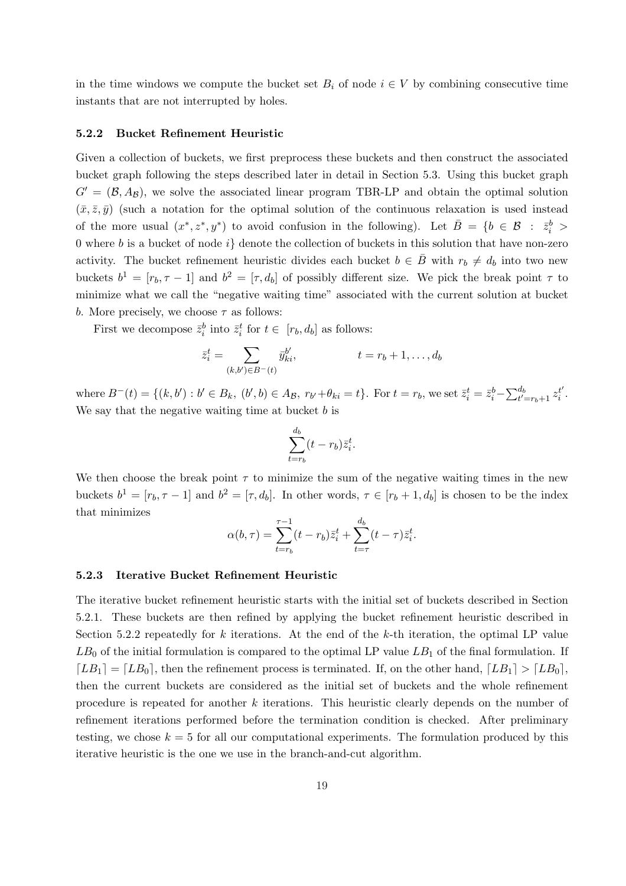in the time windows we compute the bucket set  $B_i$  of node  $i \in V$  by combining consecutive time instants that are not interrupted by holes.

#### 5.2.2 Bucket Refinement Heuristic

Given a collection of buckets, we first preprocess these buckets and then construct the associated bucket graph following the steps described later in detail in Section 5.3. Using this bucket graph  $G' = (\mathcal{B}, A_{\mathcal{B}})$ , we solve the associated linear program TBR-LP and obtain the optimal solution  $(\bar{x}, \bar{z}, \bar{y})$  (such a notation for the optimal solution of the continuous relaxation is used instead of the more usual  $(x^*, z^*, y^*)$  to avoid confusion in the following). Let  $\overline{B} = \{b \in \mathcal{B} : \overline{z}_i^b >$ 0 where b is a bucket of node  $i$  denote the collection of buckets in this solution that have non-zero activity. The bucket refinement heuristic divides each bucket  $b \in \overline{B}$  with  $r_b \neq d_b$  into two new buckets  $b^1 = [r_b, \tau - 1]$  and  $b^2 = [\tau, d_b]$  of possibly different size. We pick the break point  $\tau$  to minimize what we call the "negative waiting time" associated with the current solution at bucket b. More precisely, we choose  $\tau$  as follows:

First we decompose  $\bar{z}_i^b$  into  $\bar{z}_i^t$  for  $t \in [r_b, d_b]$  as follows:

$$
\bar{z}_i^t = \sum_{(k,b') \in B^-(t)} \bar{y}_{ki}^{b'}, \qquad t = r_b + 1, \dots, d_b
$$

where  $B^-(t) = \{(k, b') : b' \in B_k, (b', b) \in A_{\mathcal{B}}, r_{b'} + \theta_{ki} = t\}$ . For  $t = r_b$ , we set  $\bar{z}_i^t = \bar{z}_i^b - \sum_{t'=r_b+1}^{d_b} z_i^{t'}$  $\frac{t'}{i}$  . We say that the negative waiting time at bucket  $b$  is

$$
\sum_{t=r_b}^{d_b} (t-r_b) \bar{z}_i^t.
$$

We then choose the break point  $\tau$  to minimize the sum of the negative waiting times in the new buckets  $b^1 = [r_b, \tau - 1]$  and  $b^2 = [\tau, d_b]$ . In other words,  $\tau \in [r_b + 1, d_b]$  is chosen to be the index that minimizes

$$
\alpha(b,\tau) = \sum_{t=r_b}^{\tau-1} (t-r_b)\bar{z}_i^t + \sum_{t=\tau}^{d_b} (t-\tau)\bar{z}_i^t.
$$

#### 5.2.3 Iterative Bucket Refinement Heuristic

The iterative bucket refinement heuristic starts with the initial set of buckets described in Section 5.2.1. These buckets are then refined by applying the bucket refinement heuristic described in Section 5.2.2 repeatedly for k iterations. At the end of the k-th iteration, the optimal LP value  $LB_0$  of the initial formulation is compared to the optimal LP value  $LB_1$  of the final formulation. If  $[LB_1] = [LB_0]$ , then the refinement process is terminated. If, on the other hand,  $[LB_1] > [LB_0]$ , then the current buckets are considered as the initial set of buckets and the whole refinement procedure is repeated for another k iterations. This heuristic clearly depends on the number of refinement iterations performed before the termination condition is checked. After preliminary testing, we chose  $k = 5$  for all our computational experiments. The formulation produced by this iterative heuristic is the one we use in the branch-and-cut algorithm.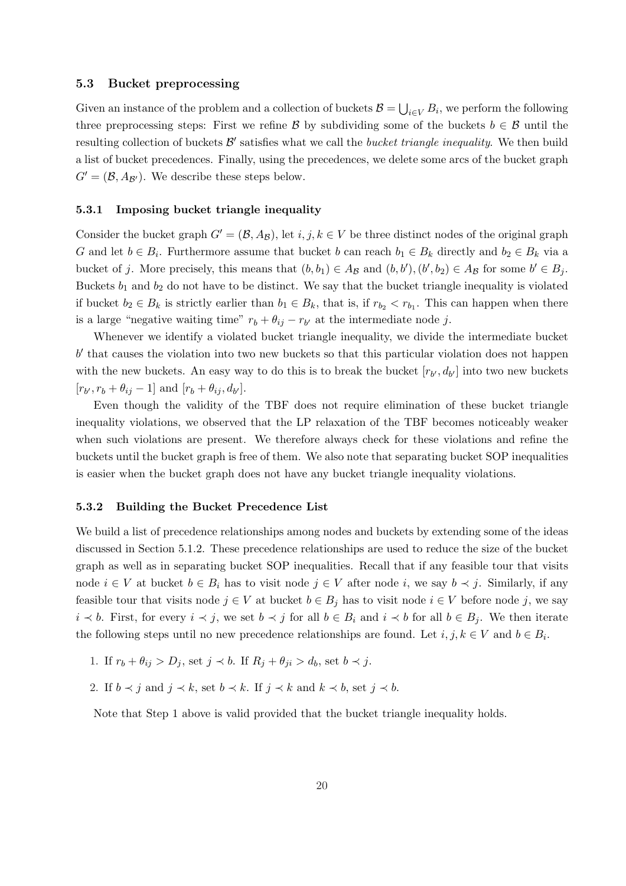#### 5.3 Bucket preprocessing

Given an instance of the problem and a collection of buckets  $\mathcal{B} =$ S  $_{i\in V} B_i$ , we perform the following three preprocessing steps: First we refine B by subdividing some of the buckets  $b \in \mathcal{B}$  until the resulting collection of buckets  $\mathcal{B}'$  satisfies what we call the *bucket triangle inequality*. We then build a list of bucket precedences. Finally, using the precedences, we delete some arcs of the bucket graph  $G' = (\mathcal{B}, A_{\mathcal{B}})$ . We describe these steps below.

#### 5.3.1 Imposing bucket triangle inequality

Consider the bucket graph  $G' = (\mathcal{B}, A_{\mathcal{B}})$ , let  $i, j, k \in V$  be three distinct nodes of the original graph G and let  $b \in B_i$ . Furthermore assume that bucket b can reach  $b_1 \in B_k$  directly and  $b_2 \in B_k$  via a bucket of j. More precisely, this means that  $(b, b_1) \in A_{\mathcal{B}}$  and  $(b, b'), (b', b_2) \in A_{\mathcal{B}}$  for some  $b' \in B_j$ . Buckets  $b_1$  and  $b_2$  do not have to be distinct. We say that the bucket triangle inequality is violated if bucket  $b_2 \in B_k$  is strictly earlier than  $b_1 \in B_k$ , that is, if  $r_{b_2} < r_{b_1}$ . This can happen when there is a large "negative waiting time"  $r_b + \theta_{ij} - r_{b'}$  at the intermediate node j.

Whenever we identify a violated bucket triangle inequality, we divide the intermediate bucket  $b'$  that causes the violation into two new buckets so that this particular violation does not happen with the new buckets. An easy way to do this is to break the bucket  $[r_{b'}, d_{b'}]$  into two new buckets  $[r_{b'}, r_b + \theta_{ij} - 1]$  and  $[r_b + \theta_{ij}, d_{b'}].$ 

Even though the validity of the TBF does not require elimination of these bucket triangle inequality violations, we observed that the LP relaxation of the TBF becomes noticeably weaker when such violations are present. We therefore always check for these violations and refine the buckets until the bucket graph is free of them. We also note that separating bucket SOP inequalities is easier when the bucket graph does not have any bucket triangle inequality violations.

#### 5.3.2 Building the Bucket Precedence List

We build a list of precedence relationships among nodes and buckets by extending some of the ideas discussed in Section 5.1.2. These precedence relationships are used to reduce the size of the bucket graph as well as in separating bucket SOP inequalities. Recall that if any feasible tour that visits node  $i \in V$  at bucket  $b \in B_i$  has to visit node  $j \in V$  after node i, we say  $b \prec j$ . Similarly, if any feasible tour that visits node  $j \in V$  at bucket  $b \in B_j$  has to visit node  $i \in V$  before node j, we say  $i \lt b$ . First, for every  $i \lt j$ , we set  $b \lt j$  for all  $b \in B_i$  and  $i \lt b$  for all  $b \in B_j$ . We then iterate the following steps until no new precedence relationships are found. Let  $i, j, k \in V$  and  $b \in B_i$ .

- 1. If  $r_b + \theta_{ij} > D_j$ , set  $j \prec b$ . If  $R_i + \theta_{ji} > d_b$ , set  $b \prec j$ .
- 2. If  $b \prec j$  and  $j \prec k$ , set  $b \prec k$ . If  $j \prec k$  and  $k \prec b$ , set  $j \prec b$ .

Note that Step 1 above is valid provided that the bucket triangle inequality holds.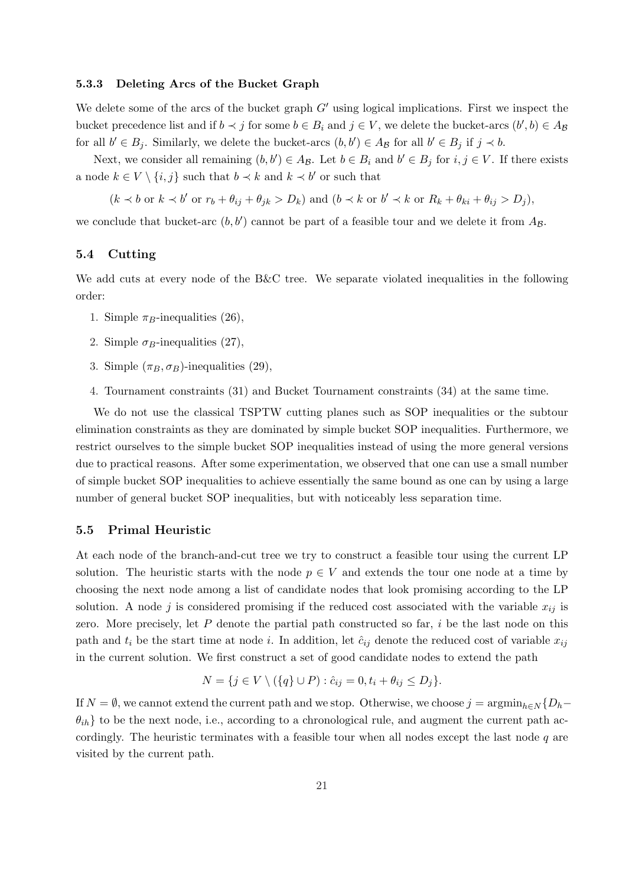#### 5.3.3 Deleting Arcs of the Bucket Graph

We delete some of the arcs of the bucket graph  $G'$  using logical implications. First we inspect the bucket precedence list and if  $b \prec j$  for some  $b \in B_i$  and  $j \in V$ , we delete the bucket-arcs  $(b', b) \in A_{\mathcal{B}}$ for all  $b' \in B_j$ . Similarly, we delete the bucket-arcs  $(b, b') \in A_{\mathcal{B}}$  for all  $b' \in B_j$  if  $j \prec b$ .

Next, we consider all remaining  $(b, b') \in A_{\mathcal{B}}$ . Let  $b \in B_i$  and  $b' \in B_j$  for  $i, j \in V$ . If there exists a node  $k \in V \setminus \{i, j\}$  such that  $b \prec k$  and  $k \prec b'$  or such that

 $(k \prec b \text{ or } k \prec b' \text{ or } r_b + \theta_{ij} + \theta_{jk} > D_k)$  and  $(b \prec k \text{ or } b' \prec k \text{ or } R_k + \theta_{ki} + \theta_{ij} > D_j)$ ,

we conclude that bucket-arc  $(b, b')$  cannot be part of a feasible tour and we delete it from  $A_{\mathcal{B}}$ .

## 5.4 Cutting

We add cuts at every node of the B&C tree. We separate violated inequalities in the following order:

- 1. Simple  $\pi_B$ -inequalities (26),
- 2. Simple  $\sigma_B$ -inequalities (27),
- 3. Simple  $(\pi_B, \sigma_B)$ -inequalities (29),
- 4. Tournament constraints (31) and Bucket Tournament constraints (34) at the same time.

We do not use the classical TSPTW cutting planes such as SOP inequalities or the subtour elimination constraints as they are dominated by simple bucket SOP inequalities. Furthermore, we restrict ourselves to the simple bucket SOP inequalities instead of using the more general versions due to practical reasons. After some experimentation, we observed that one can use a small number of simple bucket SOP inequalities to achieve essentially the same bound as one can by using a large number of general bucket SOP inequalities, but with noticeably less separation time.

#### 5.5 Primal Heuristic

At each node of the branch-and-cut tree we try to construct a feasible tour using the current LP solution. The heuristic starts with the node  $p \in V$  and extends the tour one node at a time by choosing the next node among a list of candidate nodes that look promising according to the LP solution. A node j is considered promising if the reduced cost associated with the variable  $x_{ij}$  is zero. More precisely, let  $P$  denote the partial path constructed so far,  $i$  be the last node on this path and  $t_i$  be the start time at node i. In addition, let  $\hat{c}_{ij}$  denote the reduced cost of variable  $x_{ij}$ in the current solution. We first construct a set of good candidate nodes to extend the path

$$
N = \{ j \in V \setminus (\{q\} \cup P) : \hat{c}_{ij} = 0, t_i + \theta_{ij} \le D_j \}.
$$

If  $N = \emptyset$ , we cannot extend the current path and we stop. Otherwise, we choose  $j = \operatorname{argmin}_{h \in N} \{D_h \{\theta_{ih}\}\$ to be the next node, i.e., according to a chronological rule, and augment the current path accordingly. The heuristic terminates with a feasible tour when all nodes except the last node  $q$  are visited by the current path.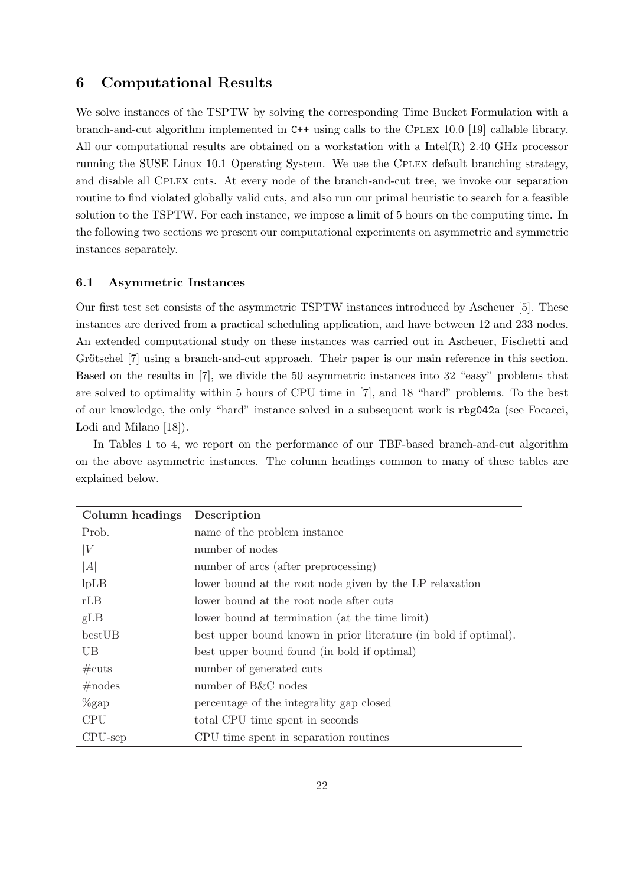# 6 Computational Results

We solve instances of the TSPTW by solving the corresponding Time Bucket Formulation with a branch-and-cut algorithm implemented in C++ using calls to the Cplex 10.0 [19] callable library. All our computational results are obtained on a workstation with a Intel(R) 2.40 GHz processor running the SUSE Linux 10.1 Operating System. We use the Cplex default branching strategy, and disable all Cplex cuts. At every node of the branch-and-cut tree, we invoke our separation routine to find violated globally valid cuts, and also run our primal heuristic to search for a feasible solution to the TSPTW. For each instance, we impose a limit of 5 hours on the computing time. In the following two sections we present our computational experiments on asymmetric and symmetric instances separately.

#### 6.1 Asymmetric Instances

Our first test set consists of the asymmetric TSPTW instances introduced by Ascheuer [5]. These instances are derived from a practical scheduling application, and have between 12 and 233 nodes. An extended computational study on these instances was carried out in Ascheuer, Fischetti and Grötschel [7] using a branch-and-cut approach. Their paper is our main reference in this section. Based on the results in [7], we divide the 50 asymmetric instances into 32 "easy" problems that are solved to optimality within 5 hours of CPU time in [7], and 18 "hard" problems. To the best of our knowledge, the only "hard" instance solved in a subsequent work is rbg042a (see Focacci, Lodi and Milano [18]).

In Tables 1 to 4, we report on the performance of our TBF-based branch-and-cut algorithm on the above asymmetric instances. The column headings common to many of these tables are explained below.

| Column headings Description |                                                                  |
|-----------------------------|------------------------------------------------------------------|
| Prob.                       | name of the problem instance                                     |
| V                           | number of nodes                                                  |
| A                           | number of arcs (after preprocessing)                             |
| lpLB                        | lower bound at the root node given by the LP relaxation          |
| rLB                         | lower bound at the root node after cuts                          |
| gLB                         | lower bound at termination (at the time limit)                   |
| bestUB                      | best upper bound known in prior literature (in bold if optimal). |
| UB.                         | best upper bound found (in bold if optimal)                      |
| $\#\text{cuts}$             | number of generated cuts                                         |
| #nodes                      | number of B&C nodes                                              |
| $\%$ gap                    | percentage of the integrality gap closed                         |
| <b>CPU</b>                  | total CPU time spent in seconds                                  |
| $CPU$ -sep                  | CPU time spent in separation routines                            |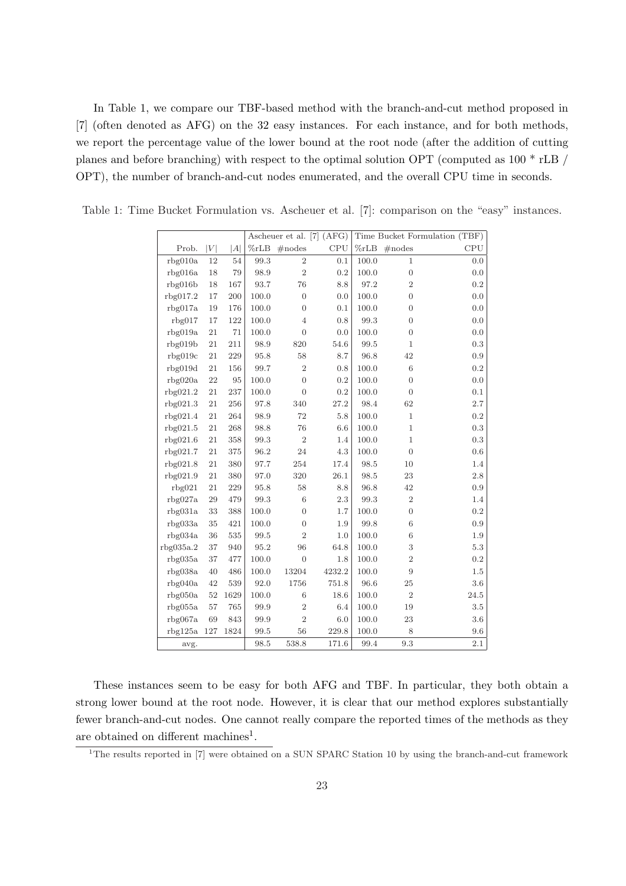In Table 1, we compare our TBF-based method with the branch-and-cut method proposed in [7] (often denoted as AFG) on the 32 easy instances. For each instance, and for both methods, we report the percentage value of the lower bound at the root node (after the addition of cutting planes and before branching) with respect to the optimal solution OPT (computed as 100 \* rLB / OPT), the number of branch-and-cut nodes enumerated, and the overall CPU time in seconds.

|           |        |      |         | Ascheuer et al. [7] (AFG) | Time Bucket Formulation (TBF) |         |                  |           |
|-----------|--------|------|---------|---------------------------|-------------------------------|---------|------------------|-----------|
| Prob.     | V      | A    | $\%rLB$ | $\#$ nodes                | CPU                           | $\%rLB$ | $\#nodes$        | CPU       |
| rbg010a   | 12     | 54   | 99.3    | $\overline{2}$            | 0.1                           | 100.0   | 1                | 0.0       |
| rbg016a   | 18     | 79   | 98.9    | $\overline{2}$            | 0.2                           | 100.0   | $\overline{0}$   | 0.0       |
| rbg016b   | 18     | 167  | 93.7    | 76                        | 8.8                           | 97.2    | $\overline{2}$   | $\rm 0.2$ |
| rbg017.2  | 17     | 200  | 100.0   | $\overline{0}$            | 0.0                           | 100.0   | $\overline{0}$   | 0.0       |
| rbg017a   | 19     | 176  | 100.0   | $\overline{0}$            | 0.1                           | 100.0   | $\overline{0}$   | 0.0       |
| rbg017    | 17     | 122  | 100.0   | $\overline{4}$            | 0.8                           | 99.3    | $\overline{0}$   | 0.0       |
| rbg019a   | 21     | 71   | 100.0   | $\overline{0}$            | 0.0                           | 100.0   | $\overline{0}$   | 0.0       |
| rbg019b   | 21     | 211  | 98.9    | 820                       | 54.6                          | 99.5    | $\mathbf{1}$     | 0.3       |
| rbg019c   | 21     | 229  | 95.8    | 58                        | 8.7                           | 96.8    | 42               | $0.9\,$   |
| rbg019d   | 21     | 156  | 99.7    | $\sqrt{2}$                | 0.8                           | 100.0   | 6                | 0.2       |
| rbg020a   | 22     | 95   | 100.0   | $\overline{0}$            | 0.2                           | 100.0   | $\overline{0}$   | 0.0       |
| rbg021.2  | 21     | 237  | 100.0   | $\overline{0}$            | 0.2                           | 100.0   | $\overline{0}$   | 0.1       |
| rbg021.3  | 21     | 256  | 97.8    | 340                       | 27.2                          | 98.4    | 62               | 2.7       |
| rbg021.4  | 21     | 264  | 98.9    | 72                        | $5.8\,$                       | 100.0   | $\mathbf{1}$     | 0.2       |
| rbg021.5  | 21     | 268  | 98.8    | 76                        | 6.6                           | 100.0   | $\mathbf{1}$     | $\rm 0.3$ |
| rbg021.6  | 21     | 358  | 99.3    | $\sqrt{2}$                | 1.4                           | 100.0   | $\mathbf 1$      | 0.3       |
| rbg021.7  | 21     | 375  | 96.2    | 24                        | 4.3                           | 100.0   | $\overline{0}$   | $0.6\,$   |
| rbg021.8  | 21     | 380  | 97.7    | 254                       | 17.4                          | 98.5    | 10               | 1.4       |
| rbg021.9  | 21     | 380  | 97.0    | 320                       | 26.1                          | 98.5    | 23               | 2.8       |
| rbg021    | 21     | 229  | 95.8    | 58                        | 8.8                           | 96.8    | 42               | 0.9       |
| rbg027a   | 29     | 479  | 99.3    | $6\phantom{.}6$           | 2.3                           | 99.3    | $\overline{2}$   | 1.4       |
| rbg031a   | 33     | 388  | 100.0   | $\overline{0}$            | 1.7                           | 100.0   | $\boldsymbol{0}$ | 0.2       |
| rbg033a   | 35     | 421  | 100.0   | $\overline{0}$            | 1.9                           | 99.8    | 6                | 0.9       |
| rbg034a   | 36     | 535  | 99.5    | $\overline{2}$            | 1.0                           | 100.0   | $\,6$            | 1.9       |
| rbg035a.2 | 37     | 940  | 95.2    | 96                        | 64.8                          | 100.0   | $\,3$            | $5.3\,$   |
| rbg035a   | 37     | 477  | 100.0   | $\overline{0}$            | 1.8                           | 100.0   | $\overline{2}$   | 0.2       |
| rbg038a   | 40     | 486  | 100.0   | 13204                     | 4232.2                        | 100.0   | 9                | $1.5\,$   |
| rbg040a   | 42     | 539  | 92.0    | 1756                      | 751.8                         | 96.6    | 25               | 3.6       |
| rbg050a   | $52\,$ | 1629 | 100.0   | $\,6\,$                   | 18.6                          | 100.0   | $\sqrt{2}$       | 24.5      |
| rbg055a   | 57     | 765  | 99.9    | $\overline{2}$            | 6.4                           | 100.0   | 19               | $3.5\,$   |
| rbg067a   | 69     | 843  | 99.9    | $\overline{2}$            | 6.0                           | 100.0   | 23               | 3.6       |
| rbg125a   | 127    | 1824 | 99.5    | 56                        | 229.8                         | 100.0   | 8                | 9.6       |
| avg.      |        |      | 98.5    | 538.8                     | 171.6                         | 99.4    | $\rm 9.3$        | $2.1\,$   |

Table 1: Time Bucket Formulation vs. Ascheuer et al. [7]: comparison on the "easy" instances.

These instances seem to be easy for both AFG and TBF. In particular, they both obtain a strong lower bound at the root node. However, it is clear that our method explores substantially fewer branch-and-cut nodes. One cannot really compare the reported times of the methods as they are obtained on different machines<sup>1</sup>.

<sup>&</sup>lt;sup>1</sup>The results reported in [7] were obtained on a SUN SPARC Station 10 by using the branch-and-cut framework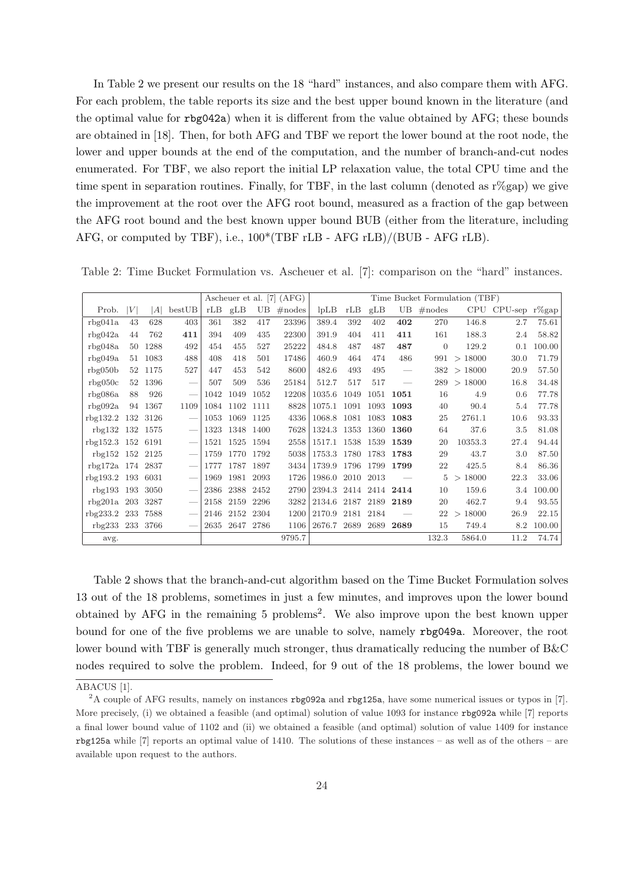In Table 2 we present our results on the 18 "hard" instances, and also compare them with AFG. For each problem, the table reports its size and the best upper bound known in the literature (and the optimal value for rbg042a) when it is different from the value obtained by AFG; these bounds are obtained in [18]. Then, for both AFG and TBF we report the lower bound at the root node, the lower and upper bounds at the end of the computation, and the number of branch-and-cut nodes enumerated. For TBF, we also report the initial LP relaxation value, the total CPU time and the time spent in separation routines. Finally, for TBF, in the last column (denoted as  $r\%$ gap) we give the improvement at the root over the AFG root bound, measured as a fraction of the gap between the AFG root bound and the best known upper bound BUB (either from the literature, including AFG, or computed by TBF), i.e., 100\*(TBF rLB - AFG rLB)/(BUB - AFG rLB).

Table 2: Time Bucket Formulation vs. Ascheuer et al. [7]: comparison on the "hard" instances.

|                  |     |      |                          |      | Ascheuer et al. [7] (AFG) |      |            |        | Time Bucket Formulation (TBF) |      |                          |                |                   |               |        |
|------------------|-----|------|--------------------------|------|---------------------------|------|------------|--------|-------------------------------|------|--------------------------|----------------|-------------------|---------------|--------|
| Prob.            | V   | A    | bestUB                   | rLB  | gLB                       | UB.  | $\#$ nodes | lpLB   | rLB                           | gLB  | UB                       | $\#nodes$      | CPU               | CPU-sep r%gap |        |
| rbg041a          | 43  | 628  | 403                      | 361  | 382                       | 417  | 23396      | 389.4  | 392                           | 402  | 402                      | 270            | 146.8             | 2.7           | 75.61  |
| rbg042a          | 44  | 762  | 411                      | 394  | 409                       | 435  | 22300      | 391.9  | 404                           | 411  | 411                      | 161            | 188.3             | 2.4           | 58.82  |
| rbg048a          | 50  | 1288 | 492                      | 454  | 455                       | 527  | 25222      | 484.8  | 487                           | 487  | 487                      | $\overline{0}$ | 129.2             | 0.1           | 100.00 |
| rbg049a          | 51  | 1083 | 488                      | 408  | 418                       | 501  | 17486      | 460.9  | 464                           | 474  | 486                      | 991            | >18000            | 30.0          | 71.79  |
| rbg050b          | 52  | 1175 | 527                      | 447  | 453                       | 542  | 8600       | 482.6  | 493                           | 495  | $\overline{\phantom{m}}$ | 382            | >18000            | 20.9          | 57.50  |
| rbg050c          | 52  | 1396 |                          | 507  | 509                       | 536  | 25184      | 512.7  | 517                           | 517  | $\hspace{0.05cm}$        | 289            | >18000            | 16.8          | 34.48  |
| rbg086a          | 88  | 926  | $\overline{\phantom{a}}$ | 1042 | 1049                      | 1052 | 12208      | 1035.6 | 1049                          | 1051 | 1051                     | 16             | 4.9               | 0.6           | 77.78  |
| rbg092a          | 94  | 1367 | 1109                     | 1084 | 1102                      | 1111 | 8828       | 1075.1 | 1091                          | 1093 | 1093                     | 40             | 90.4              | 5.4           | 77.78  |
| rbg132.2         | 132 | 3126 |                          | 1053 | 1069                      | 1125 | 4336       | 1068.8 | 1081                          | 1083 | 1083                     | 25             | 2761.1            | 10.6          | 93.33  |
| rbg132           | 132 | 1575 |                          | 1323 | 1348                      | 1400 | 7628       | 1324.3 | 1353                          | 1360 | 1360                     | 64             | 37.6              | 3.5           | 81.08  |
| rbg152.3         | 152 | 6191 |                          | 1521 | 1525                      | 1594 | 2558       | 1517.1 | 1538                          | 1539 | 1539                     | 20             | 10353.3           | 27.4          | 94.44  |
| rbg152 152 2125  |     |      |                          | 1759 | 1770                      | 1792 | 5038       | 1753.3 | 1780                          | 1783 | 1783                     | 29             | 43.7              | 3.0           | 87.50  |
| rbg172a 174 2837 |     |      |                          | 1777 | 1787                      | 1897 | 3434       | 1739.9 | 1796                          | 1799 | 1799                     | 22             | 425.5             | 8.4           | 86.36  |
| rbg193.2         | 193 | 6031 |                          | 1969 | 1981                      | 2093 | 1726       | 1986.0 | 2010                          | 2013 |                          | 5              | 18000<br>$\rm{>}$ | 22.3          | 33.06  |
| rbg193           | 193 | 3050 |                          | 2386 | 2388                      | 2452 | 2790       | 2394.3 | 2414                          | 2414 | 2414                     | 10             | 159.6             | 3.4           | 100.00 |
| rbg201a          | 203 | 3287 |                          | 2158 | 2159                      | 2296 | 3282       | 2134.6 | 2187                          | 2189 | 2189                     | 20             | 462.7             | 9.4           | 93.55  |
| rbg233.2         | 233 | 7588 |                          | 2146 | 2152                      | 2304 | 1200       | 2170.9 | 2181                          | 2184 |                          | 22             | 18000<br>$\geq$   | 26.9          | 22.15  |
| rbg233 233 3766  |     |      |                          | 2635 | 2647                      | 2786 | 1106       | 2676.7 | 2689                          | 2689 | 2689                     | 15             | 749.4             | 8.2           | 100.00 |
| avg.             |     |      |                          |      |                           |      | 9795.7     |        |                               |      |                          | 132.3          | 5864.0            | 11.2          | 74.74  |

Table 2 shows that the branch-and-cut algorithm based on the Time Bucket Formulation solves 13 out of the 18 problems, sometimes in just a few minutes, and improves upon the lower bound obtained by AFG in the remaining 5 problems<sup>2</sup>. We also improve upon the best known upper bound for one of the five problems we are unable to solve, namely rbg049a. Moreover, the root lower bound with TBF is generally much stronger, thus dramatically reducing the number of B&C nodes required to solve the problem. Indeed, for 9 out of the 18 problems, the lower bound we

ABACUS [1].

<sup>2</sup>A couple of AFG results, namely on instances rbg092a and rbg125a, have some numerical issues or typos in [7]. More precisely, (i) we obtained a feasible (and optimal) solution of value 1093 for instance rbg092a while [7] reports a final lower bound value of 1102 and (ii) we obtained a feasible (and optimal) solution of value 1409 for instance rbg125a while [7] reports an optimal value of 1410. The solutions of these instances – as well as of the others – are available upon request to the authors.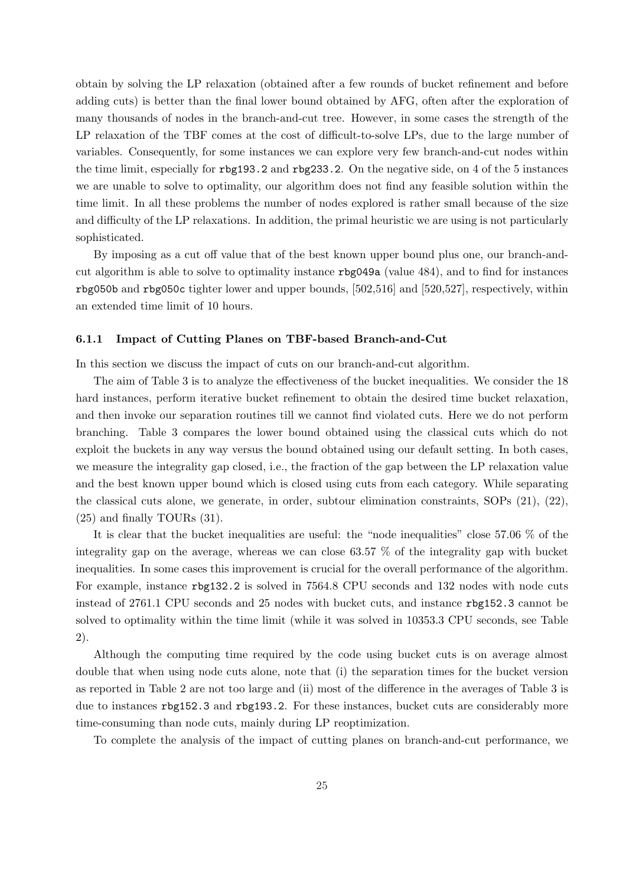obtain by solving the LP relaxation (obtained after a few rounds of bucket refinement and before adding cuts) is better than the final lower bound obtained by AFG, often after the exploration of many thousands of nodes in the branch-and-cut tree. However, in some cases the strength of the LP relaxation of the TBF comes at the cost of difficult-to-solve LPs, due to the large number of variables. Consequently, for some instances we can explore very few branch-and-cut nodes within the time limit, especially for rbg193.2 and rbg233.2. On the negative side, on 4 of the 5 instances we are unable to solve to optimality, our algorithm does not find any feasible solution within the time limit. In all these problems the number of nodes explored is rather small because of the size and difficulty of the LP relaxations. In addition, the primal heuristic we are using is not particularly sophisticated.

By imposing as a cut off value that of the best known upper bound plus one, our branch-andcut algorithm is able to solve to optimality instance rbg049a (value 484), and to find for instances rbg050b and rbg050c tighter lower and upper bounds, [502,516] and [520,527], respectively, within an extended time limit of 10 hours.

### 6.1.1 Impact of Cutting Planes on TBF-based Branch-and-Cut

In this section we discuss the impact of cuts on our branch-and-cut algorithm.

The aim of Table 3 is to analyze the effectiveness of the bucket inequalities. We consider the 18 hard instances, perform iterative bucket refinement to obtain the desired time bucket relaxation, and then invoke our separation routines till we cannot find violated cuts. Here we do not perform branching. Table 3 compares the lower bound obtained using the classical cuts which do not exploit the buckets in any way versus the bound obtained using our default setting. In both cases, we measure the integrality gap closed, i.e., the fraction of the gap between the LP relaxation value and the best known upper bound which is closed using cuts from each category. While separating the classical cuts alone, we generate, in order, subtour elimination constraints, SOPs (21), (22), (25) and finally TOURs (31).

It is clear that the bucket inequalities are useful: the "node inequalities" close 57.06 % of the integrality gap on the average, whereas we can close  $63.57\%$  of the integrality gap with bucket inequalities. In some cases this improvement is crucial for the overall performance of the algorithm. For example, instance rbg132.2 is solved in 7564.8 CPU seconds and 132 nodes with node cuts instead of 2761.1 CPU seconds and 25 nodes with bucket cuts, and instance rbg152.3 cannot be solved to optimality within the time limit (while it was solved in 10353.3 CPU seconds, see Table 2).

Although the computing time required by the code using bucket cuts is on average almost double that when using node cuts alone, note that (i) the separation times for the bucket version as reported in Table 2 are not too large and (ii) most of the difference in the averages of Table 3 is due to instances rbg152.3 and rbg193.2. For these instances, bucket cuts are considerably more time-consuming than node cuts, mainly during LP reoptimization.

To complete the analysis of the impact of cutting planes on branch-and-cut performance, we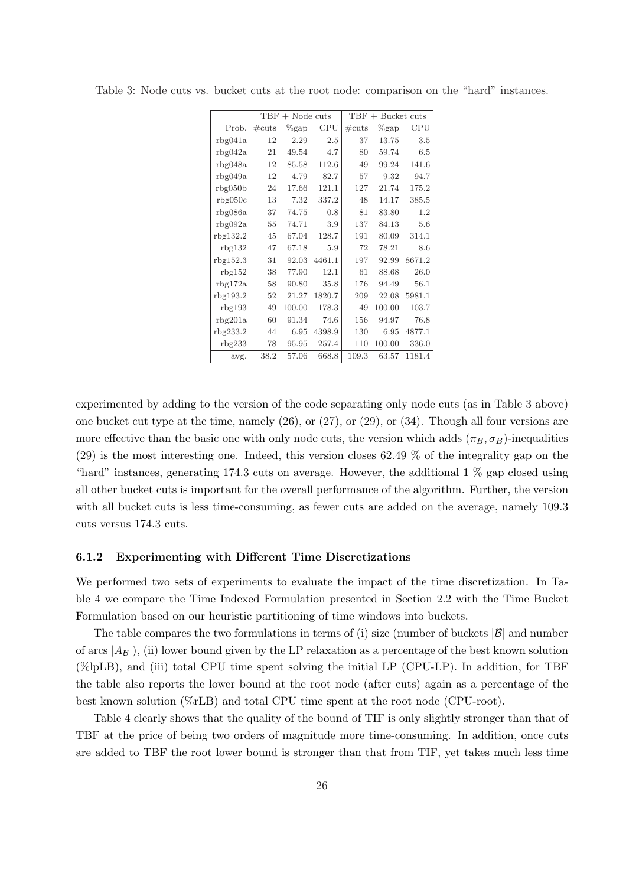|          |                 | $TBF + Node cuts$ |         |                 | $TBF + Bucket cuts$ |        |  |  |  |  |  |
|----------|-----------------|-------------------|---------|-----------------|---------------------|--------|--|--|--|--|--|
| Prob.    | $\#\text{cuts}$ | $\%$ gap          | CPU     | $\#\text{cuts}$ | $\%$ gap            | CPU    |  |  |  |  |  |
| rbg041a  | 12              | 2.29              | $2.5\,$ | 37              | 13.75               | 3.5    |  |  |  |  |  |
| rbg042a  | 21              | 49.54             | 4.7     | 80              | 59.74               | 6.5    |  |  |  |  |  |
| rbg048a  | 12              | 85.58             | 112.6   | 49              | 99.24               | 141.6  |  |  |  |  |  |
| rbg049a  | 12              | 4.79              | 82.7    | 57              | 9.32                | 94.7   |  |  |  |  |  |
| rbg050b  | 24              | 17.66             | 121.1   | 127             | 21.74               | 175.2  |  |  |  |  |  |
| rbg050c  | 13              | 7.32              | 337.2   | 48              | 14.17               | 385.5  |  |  |  |  |  |
| rbg086a  | 37              | 74.75             | 0.8     | 81              | 83.80               | 1.2    |  |  |  |  |  |
| rbg092a  | 55              | 74.71             | 3.9     | 137             | 84.13               | 5.6    |  |  |  |  |  |
| rbg132.2 | 45              | 67.04             | 128.7   | 191             | 80.09               | 314.1  |  |  |  |  |  |
| rbg132   | 47              | 67.18             | 5.9     | 72              | 78.21               | 8.6    |  |  |  |  |  |
| rbg152.3 | 31              | 92.03             | 4461.1  | 197             | 92.99               | 8671.2 |  |  |  |  |  |
| rbg152   | 38              | 77.90             | 12.1    | 61              | 88.68               | 26.0   |  |  |  |  |  |
| rbg172a  | 58              | 90.80             | 35.8    | 176             | 94.49               | 56.1   |  |  |  |  |  |
| rbg193.2 | 52              | 21.27             | 1820.7  | 209             | 22.08               | 5981.1 |  |  |  |  |  |
| rbg193   | 49              | 100.00            | 178.3   | 49              | 100.00              | 103.7  |  |  |  |  |  |
| rbg201a  | 60              | 91.34             | 74.6    | 156             | 94.97               | 76.8   |  |  |  |  |  |
| rbg233.2 | 44              | 6.95              | 4398.9  | 130             | 6.95                | 4877.1 |  |  |  |  |  |
| rbg233   | 78              | 95.95             | 257.4   | 110             | 100.00              | 336.0  |  |  |  |  |  |
| avg.     | 38.2            | 57.06             | 668.8   | 109.3           | 63.57               | 1181.4 |  |  |  |  |  |

Table 3: Node cuts vs. bucket cuts at the root node: comparison on the "hard" instances.

experimented by adding to the version of the code separating only node cuts (as in Table 3 above) one bucket cut type at the time, namely (26), or (27), or (29), or (34). Though all four versions are more effective than the basic one with only node cuts, the version which adds  $(\pi_B, \sigma_B)$ -inequalities (29) is the most interesting one. Indeed, this version closes 62.49 % of the integrality gap on the "hard" instances, generating 174.3 cuts on average. However, the additional  $1\%$  gap closed using all other bucket cuts is important for the overall performance of the algorithm. Further, the version with all bucket cuts is less time-consuming, as fewer cuts are added on the average, namely 109.3 cuts versus 174.3 cuts.

### 6.1.2 Experimenting with Different Time Discretizations

We performed two sets of experiments to evaluate the impact of the time discretization. In Table 4 we compare the Time Indexed Formulation presented in Section 2.2 with the Time Bucket Formulation based on our heuristic partitioning of time windows into buckets.

The table compares the two formulations in terms of (i) size (number of buckets  $|\mathcal{B}|$  and number of arcs  $|A_B|$ , (ii) lower bound given by the LP relaxation as a percentage of the best known solution (%lpLB), and (iii) total CPU time spent solving the initial LP (CPU-LP). In addition, for TBF the table also reports the lower bound at the root node (after cuts) again as a percentage of the best known solution (%rLB) and total CPU time spent at the root node (CPU-root).

Table 4 clearly shows that the quality of the bound of TIF is only slightly stronger than that of TBF at the price of being two orders of magnitude more time-consuming. In addition, once cuts are added to TBF the root lower bound is stronger than that from TIF, yet takes much less time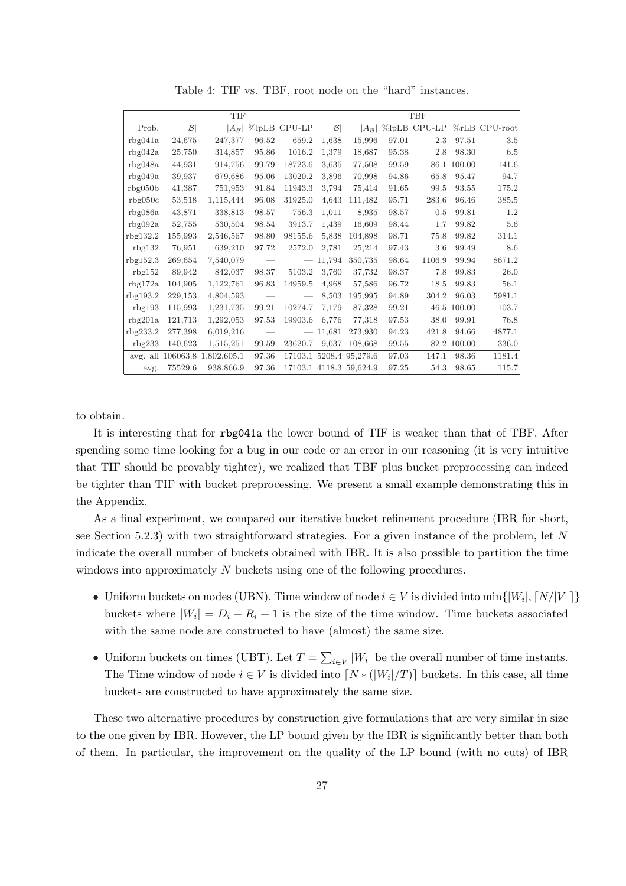|          |                 | <b>TIF</b>        |       |              | TBF             |                         |       |              |        |                   |  |
|----------|-----------------|-------------------|-------|--------------|-----------------|-------------------------|-------|--------------|--------|-------------------|--|
| Prob.    | $ \mathcal{B} $ | $A_{\mathcal{B}}$ |       | %lpLB CPU-LP | $ \mathcal{B} $ | $ A_{\mathcal{B}} $     |       | %lpLB CPU-LP |        | $\%$ rLB CPU-root |  |
| rbg041a  | 24,675          | 247,377           | 96.52 | 659.2        | 1,638           | 15,996                  | 97.01 | 2.3          | 97.51  | 3.5               |  |
| rbg042a  | 25,750          | 314,857           | 95.86 | 1016.2       | 1,379           | 18,687                  | 95.38 | 2.8          | 98.30  | $6.5\,$           |  |
| rbg048a  | 44,931          | 914,756           | 99.79 | 18723.6      | 3,635           | 77,508                  | 99.59 | 86.1         | 100.00 | 141.6             |  |
| rbg049a  | 39,937          | 679,686           | 95.06 | 13020.2      | 3,896           | 70,998                  | 94.86 | 65.8         | 95.47  | 94.7              |  |
| rbg050b  | 41,387          | 751,953           | 91.84 | 11943.3      | 3,794           | 75.414                  | 91.65 | 99.5         | 93.55  | 175.2             |  |
| rbg050c  | 53,518          | 1,115,444         | 96.08 | 31925.0      | 4,643           | 111,482                 | 95.71 | 283.6        | 96.46  | 385.5             |  |
| rbg086a  | 43,871          | 338,813           | 98.57 | 756.3        | 1,011           | 8,935                   | 98.57 | 0.5          | 99.81  | 1.2               |  |
| rbg092a  | 52,755          | 530,504           | 98.54 | 3913.7       | 1,439           | 16,609                  | 98.44 | 1.7          | 99.82  | 5.6               |  |
| rbg132.2 | 155,993         | 2,546,567         | 98.80 | 98155.6      | 5,838           | 104,898                 | 98.71 | 75.8         | 99.82  | 314.1             |  |
| rbg132   | 76,951          | 639,210           | 97.72 | 2572.0       | 2,781           | 25,214                  | 97.43 | $3.6\,$      | 99.49  | 8.6               |  |
| rbg152.3 | 269,654         | 7,540,079         |       |              | 11,794          | 350,735                 | 98.64 | 1106.9       | 99.94  | 8671.2            |  |
| rbg152   | 89.942          | 842,037           | 98.37 | 5103.2       | 3.760           | 37,732                  | 98.37 | 7.8          | 99.83  | 26.0              |  |
| rbg172a  | 104,905         | 1,122,761         | 96.83 | 14959.5      | 4,968           | 57,586                  | 96.72 | 18.5         | 99.83  | 56.1              |  |
| rbg193.2 | 229,153         | 4,804,593         |       |              | 8,503           | 195,995                 | 94.89 | 304.2        | 96.03  | 5981.1            |  |
| rbg193   | 115,993         | 1,231,735         | 99.21 | 10274.7      | 7.179           | 87.328                  | 99.21 | 46.5         | 100.00 | 103.7             |  |
| rbg201a  | 121,713         | 1,292,053         | 97.53 | 19903.6      | 6,776           | 77,318                  | 97.53 | 38.0         | 99.91  | 76.8              |  |
| rbg233.2 | 277,398         | 6,019,216         |       |              | 11,681          | 273,930                 | 94.23 | 421.8        | 94.66  | 4877.1            |  |
| rbg233   | 140,623         | 1,515,251         | 99.59 | 23620.7      | 9,037           | 108,668                 | 99.55 | 82.2         | 100.00 | 336.0             |  |
| avg. all | 106063.8        | 1,802,605.1       | 97.36 | 17103.1      |                 | 5208.4 95,279.6         | 97.03 | 147.1        | 98.36  | 1181.4            |  |
| avg.     | 75529.6         | 938,866.9         | 97.36 |              |                 | 17103.1 4118.3 59,624.9 | 97.25 | 54.3         | 98.65  | 115.7             |  |

Table 4: TIF vs. TBF, root node on the "hard" instances.

to obtain.

It is interesting that for rbg041a the lower bound of TIF is weaker than that of TBF. After spending some time looking for a bug in our code or an error in our reasoning (it is very intuitive that TIF should be provably tighter), we realized that TBF plus bucket preprocessing can indeed be tighter than TIF with bucket preprocessing. We present a small example demonstrating this in the Appendix.

As a final experiment, we compared our iterative bucket refinement procedure (IBR for short, see Section 5.2.3) with two straightforward strategies. For a given instance of the problem, let N indicate the overall number of buckets obtained with IBR. It is also possible to partition the time windows into approximately N buckets using one of the following procedures.

- Uniform buckets on nodes (UBN). Time window of node  $i \in V$  is divided into  $\min\{|W_i|, \lceil N/|V|\rceil\}$ buckets where  $|W_i| = D_i - R_i + 1$  is the size of the time window. Time buckets associated with the same node are constructed to have (almost) the same size.
- Uniform buckets on times (UBT). Let  $T =$  $\overline{ }$  $_{i\in V}|W_i|$  be the overall number of time instants. The Time window of node  $i \in V$  is divided into  $\lceil N * (|W_i|/T) \rceil$  buckets. In this case, all time buckets are constructed to have approximately the same size.

These two alternative procedures by construction give formulations that are very similar in size to the one given by IBR. However, the LP bound given by the IBR is significantly better than both of them. In particular, the improvement on the quality of the LP bound (with no cuts) of IBR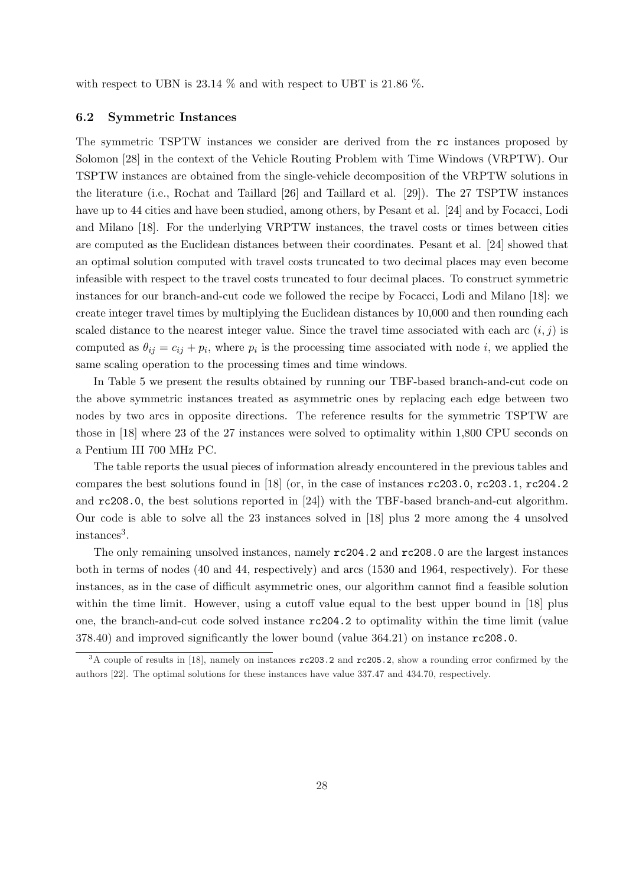with respect to UBN is 23.14  $\%$  and with respect to UBT is 21.86  $\%$ .

#### 6.2 Symmetric Instances

The symmetric TSPTW instances we consider are derived from the rc instances proposed by Solomon [28] in the context of the Vehicle Routing Problem with Time Windows (VRPTW). Our TSPTW instances are obtained from the single-vehicle decomposition of the VRPTW solutions in the literature (i.e., Rochat and Taillard [26] and Taillard et al. [29]). The 27 TSPTW instances have up to 44 cities and have been studied, among others, by Pesant et al. [24] and by Focacci, Lodi and Milano [18]. For the underlying VRPTW instances, the travel costs or times between cities are computed as the Euclidean distances between their coordinates. Pesant et al. [24] showed that an optimal solution computed with travel costs truncated to two decimal places may even become infeasible with respect to the travel costs truncated to four decimal places. To construct symmetric instances for our branch-and-cut code we followed the recipe by Focacci, Lodi and Milano [18]: we create integer travel times by multiplying the Euclidean distances by 10,000 and then rounding each scaled distance to the nearest integer value. Since the travel time associated with each arc  $(i, j)$  is computed as  $\theta_{ij} = c_{ij} + p_i$ , where  $p_i$  is the processing time associated with node i, we applied the same scaling operation to the processing times and time windows.

In Table 5 we present the results obtained by running our TBF-based branch-and-cut code on the above symmetric instances treated as asymmetric ones by replacing each edge between two nodes by two arcs in opposite directions. The reference results for the symmetric TSPTW are those in [18] where 23 of the 27 instances were solved to optimality within 1,800 CPU seconds on a Pentium III 700 MHz PC.

The table reports the usual pieces of information already encountered in the previous tables and compares the best solutions found in [18] (or, in the case of instances rc203.0, rc203.1, rc204.2 and rc208.0, the best solutions reported in [24]) with the TBF-based branch-and-cut algorithm. Our code is able to solve all the 23 instances solved in [18] plus 2 more among the 4 unsolved instances<sup>3</sup>.

The only remaining unsolved instances, namely rc204.2 and rc208.0 are the largest instances both in terms of nodes (40 and 44, respectively) and arcs (1530 and 1964, respectively). For these instances, as in the case of difficult asymmetric ones, our algorithm cannot find a feasible solution within the time limit. However, using a cutoff value equal to the best upper bound in [18] plus one, the branch-and-cut code solved instance rc204.2 to optimality within the time limit (value 378.40) and improved significantly the lower bound (value 364.21) on instance rc208.0.

<sup>&</sup>lt;sup>3</sup>A couple of results in [18], namely on instances  $rc203.2$  and  $rc205.2$ , show a rounding error confirmed by the authors [22]. The optimal solutions for these instances have value 337.47 and 434.70, respectively.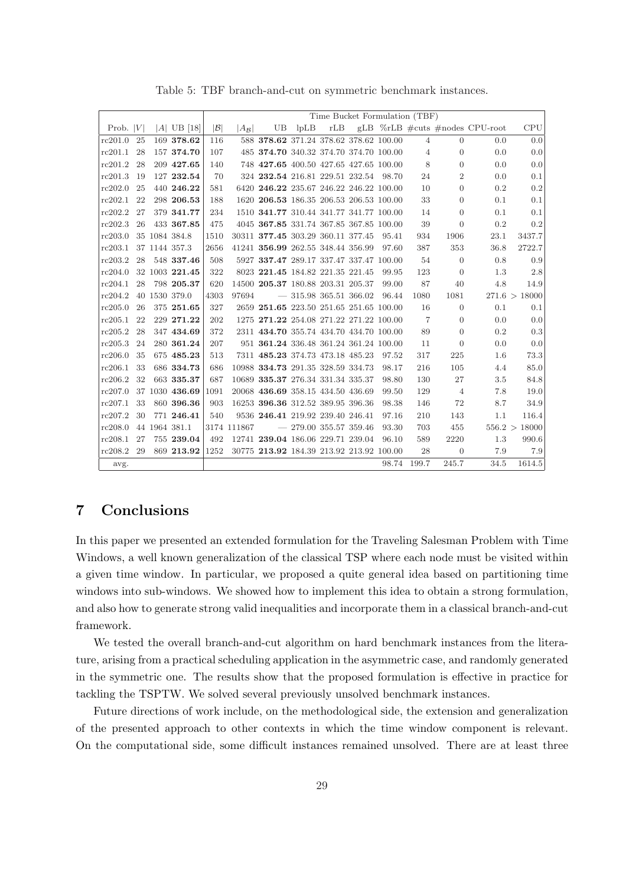|             |    |                |                 | Time Bucket Formulation (TBF) |                                          |                         |  |  |       |                |                |                                            |               |
|-------------|----|----------------|-----------------|-------------------------------|------------------------------------------|-------------------------|--|--|-------|----------------|----------------|--------------------------------------------|---------------|
| Prob. $ V $ |    | $ A $ UB [18]  | $ \mathcal{B} $ | $ A_{\mathcal{B}} $           | UB                                       | lpLB                    |  |  |       |                |                | rLB gLB $\%$ rLB $\#cuts \#nodes$ CPU-root | CPU           |
| rc201.0     | 25 | 169 378.62     | 116             |                               | 588 378.62 371.24 378.62 378.62 100.00   |                         |  |  |       | $\overline{4}$ | $\Omega$       | 0.0                                        | 0.0           |
| rc201.1     | 28 | 157 374.70     | 107             |                               | 485 374.70 340.32 374.70 374.70 100.00   |                         |  |  |       | $\overline{4}$ | $\overline{0}$ | 0.0                                        | 0.0           |
| rc201.2     | 28 | 209 427.65     | 140             |                               | 748 427.65 400.50 427.65 427.65 100.00   |                         |  |  |       | 8              | $\overline{0}$ | 0.0                                        | 0.0           |
| rc201.3     | 19 | 127 232.54     | 70              |                               | 324 232.54 216.81 229.51 232.54 98.70    |                         |  |  |       | 24             | $\overline{2}$ | 0.0                                        | 0.1           |
| rc202.0     | 25 | 440 246.22     | 581             |                               | 6420 246.22 235.67 246.22 246.22 100.00  |                         |  |  |       | 10             | $\overline{0}$ | 0.2                                        | 0.2           |
| rc202.1     | 22 | 298 206.53     | 188             |                               | 1620 206.53 186.35 206.53 206.53 100.00  |                         |  |  |       | 33             | $\Omega$       | 0.1                                        | 0.1           |
| rc202.2     | 27 | 379 341.77     | 234             |                               | 1510 341.77 310.44 341.77 341.77 100.00  |                         |  |  |       | 14             | $\overline{0}$ | 0.1                                        | 0.1           |
| rc202.3     | 26 | 433 367.85     | 475             |                               | 4045 367.85 331.74 367.85 367.85 100.00  |                         |  |  |       | 39             | $\theta$       | 0.2                                        | 0.2           |
| rc203.0     |    | 35 1084 384.8  | 1510            |                               | 30311 377.45 303.29 360.11 377.45        |                         |  |  | 95.41 | 934            | 1906           | 23.1                                       | 3437.7        |
| rc203.1     |    | 37 1144 357.3  | 2656            |                               | 41241 356.99 262.55 348.44 356.99        |                         |  |  | 97.60 | 387            | 353            | 36.8                                       | 2722.7        |
| rc203.2     | 28 | 548 337.46     | 508             |                               | 5927 337.47 289.17 337.47 337.47 100.00  |                         |  |  |       | 54             | $\overline{0}$ | 0.8                                        | 0.9           |
| rc204.0     |    | 32 1003 221.45 | 322             |                               | 8023 221.45 184.82 221.35 221.45         |                         |  |  | 99.95 | 123            | $\overline{0}$ | 1.3                                        | 2.8           |
| rc204.1     | 28 | 798 205.37     | 620             |                               | 14500 205.37 180.88 203.31 205.37        |                         |  |  | 99.00 | 87             | 40             | 4.8                                        | 14.9          |
| rc204.2     |    | 40 1530 379.0  | 4303            | 97694                         |                                          | $-315.98365.51366.02$   |  |  | 96.44 | 1080           | 1081           |                                            | 271.6 > 18000 |
| rc205.0     | 26 | 375 251.65     | 327             |                               | 2659 251.65 223.50 251.65 251.65 100.00  |                         |  |  |       | 16             | $\overline{0}$ | 0.1                                        | 0.1           |
| rc205.1     | 22 | 229 271.22     | 202             |                               | 1275 271.22 254.08 271.22 271.22 100.00  |                         |  |  |       | 7              | $\overline{0}$ | 0.0                                        | 0.0           |
| rc205.2     | 28 | 347 434.69     | 372             |                               | 2311 434.70 355.74 434.70 434.70 100.00  |                         |  |  |       | 89             | $\overline{0}$ | 0.2                                        | 0.3           |
| rc205.3     | 24 | 280 361.24     | 207             |                               | 951 361.24 336.48 361.24 361.24 100.00   |                         |  |  |       | 11             | $\mathbf{0}$   | 0.0                                        | 0.0           |
| rc206.0     | 35 | 675 485.23     | 513             |                               | 7311 485.23 374.73 473.18 485.23         |                         |  |  | 97.52 | 317            | 225            | 1.6                                        | 73.3          |
| rc206.1     | 33 | 686 334.73     | 686             |                               | 10988 334.73 291.35 328.59 334.73        |                         |  |  | 98.17 | 216            | 105            | 4.4                                        | 85.0          |
| rc206.2     | 32 | 663 335.37     | 687             |                               | 10689 335.37 276.34 331.34 335.37        |                         |  |  | 98.80 | 130            | 27             | 3.5                                        | 84.8          |
| rc207.0     |    | 37 1030 436.69 | 1091            |                               | 20068 436.69 358.15 434.50 436.69        |                         |  |  | 99.50 | 129            | $\overline{4}$ | 7.8                                        | 19.0          |
| rc207.1     | 33 | 860 396.36     | 903             |                               | 16253 396.36 312.52 389.95 396.36        |                         |  |  | 98.38 | 146            | 72             | 8.7                                        | 34.9          |
| rc207.2     | 30 | 771 246.41     | 540             |                               | 9536 246.41 219.92 239.40 246.41         |                         |  |  | 97.16 | 210            | 143            | 1.1                                        | 116.4         |
| rc208.0     |    | 44 1964 381.1  |                 | 3174 111867                   |                                          | $-279.00$ 355.57 359.46 |  |  | 93.30 | 703            | 455            |                                            | 556.2 > 18000 |
| rc208.1     | 27 | 755 239.04     | 492             |                               | 12741 239.04 186.06 229.71 239.04        |                         |  |  | 96.10 | 589            | 2220           | 1.3                                        | 990.6         |
| rc208.2     | 29 | 869 213.92     | 1252            |                               | 30775 213.92 184.39 213.92 213.92 100.00 |                         |  |  |       | 28             | $\overline{0}$ | 7.9                                        | 7.9           |
| avg.        |    |                |                 |                               |                                          |                         |  |  | 98.74 | 199.7          | 245.7          | 34.5                                       | 1614.5        |

Table 5: TBF branch-and-cut on symmetric benchmark instances.

# 7 Conclusions

In this paper we presented an extended formulation for the Traveling Salesman Problem with Time Windows, a well known generalization of the classical TSP where each node must be visited within a given time window. In particular, we proposed a quite general idea based on partitioning time windows into sub-windows. We showed how to implement this idea to obtain a strong formulation, and also how to generate strong valid inequalities and incorporate them in a classical branch-and-cut framework.

We tested the overall branch-and-cut algorithm on hard benchmark instances from the literature, arising from a practical scheduling application in the asymmetric case, and randomly generated in the symmetric one. The results show that the proposed formulation is effective in practice for tackling the TSPTW. We solved several previously unsolved benchmark instances.

Future directions of work include, on the methodological side, the extension and generalization of the presented approach to other contexts in which the time window component is relevant. On the computational side, some difficult instances remained unsolved. There are at least three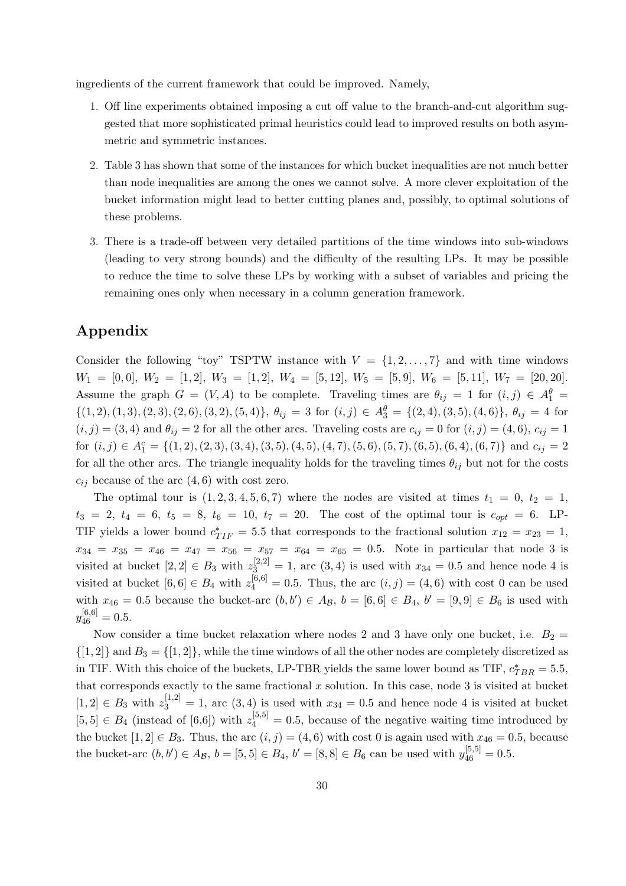ingredients of the current framework that could be improved. Namely,

- 1. Off line experiments obtained imposing a cut off value to the branch-and-cut algorithm suggested that more sophisticated primal heuristics could lead to improved results on both asymmetric and symmetric instances.
- 2. Table 3 has shown that some of the instances for which bucket inequalities are not much better than node inequalities are among the ones we cannot solve. A more clever exploitation of the bucket information might lead to better cutting planes and, possibly, to optimal solutions of these problems.
- 3. There is a trade-off between very detailed partitions of the time windows into sub-windows (leading to very strong bounds) and the difficulty of the resulting LPs. It may be possible to reduce the time to solve these LPs by working with a subset of variables and pricing the remaining ones only when necessary in a column generation framework.

# Appendix

Consider the following "toy" TSPTW instance with  $V = \{1, 2, ..., 7\}$  and with time windows  $W_1 = [0, 0], W_2 = [1, 2], W_3 = [1, 2], W_4 = [5, 12], W_5 = [5, 9], W_6 = [5, 11], W_7 = [20, 20].$ Assume the graph  $G = (V, A)$  to be complete. Traveling times are  $\theta_{ij} = 1$  for  $(i, j) \in A_1^{\theta} =$  $\{(1, 2), (1, 3), (2, 3), (2, 6), (3, 2), (5, 4)\}, \theta_{ij} = 3$  for  $(i, j) \in A_3^{\theta} = \{(2, 4), (3, 5), (4, 6)\}, \theta_{ij} = 4$  for  $(i, j) = (3, 4)$  and  $\theta_{ij} = 2$  for all the other arcs. Traveling costs are  $c_{ij} = 0$  for  $(i, j) = (4, 6)$ ,  $c_{ij} = 1$ for  $(i, j) \in A_1^c = \{(1, 2), (2, 3), (3, 4), (3, 5), (4, 5), (4, 7), (5, 6), (5, 7), (6, 5), (6, 4), (6, 7)\}$  and  $c_{ij} = 2$ for all the other arcs. The triangle inequality holds for the traveling times  $\theta_{ij}$  but not for the costs  $c_{ij}$  because of the arc  $(4, 6)$  with cost zero.

The optimal tour is  $(1, 2, 3, 4, 5, 6, 7)$  where the nodes are visited at times  $t_1 = 0$ ,  $t_2 = 1$ ,  $t_3 = 2, t_4 = 6, t_5 = 8, t_6 = 10, t_7 = 20.$  The cost of the optimal tour is  $c_{opt} = 6$ . LP-TIF yields a lower bound  $c_{TIF}^* = 5.5$  that corresponds to the fractional solution  $x_{12} = x_{23} = 1$ ,  $x_{34} = x_{35} = x_{46} = x_{47} = x_{56} = x_{57} = x_{64} = x_{65} = 0.5$ . Note in particular that node 3 is visited at bucket  $[2,2] \in B_3$  with  $z_3^{[2,2]}=1$ , arc  $(3,4)$  is used with  $x_{34}=0.5$  and hence node 4 is visited at bucket  $[6, 6] \in B_4$  with  $z_4^{[6, 6]} = 0.5$ . Thus, the arc  $(i, j) = (4, 6)$  with cost 0 can be used with  $x_{46} = 0.5$  because the bucket-arc  $(b, b') \in A_{\mathcal{B}}$ ,  $b = [6, 6] \in B_4$ ,  $b' = [9, 9] \in B_6$  is used with  $y_{46}^{[6,6]}=0.5.$ 

Now consider a time bucket relaxation where nodes 2 and 3 have only one bucket, i.e.  $B_2 =$  $\{[1,2]\}\$  and  $B_3 = \{[1,2]\}\$ , while the time windows of all the other nodes are completely discretized as in TIF. With this choice of the buckets, LP-TBR yields the same lower bound as TIF,  $c_{TBR}^* = 5.5$ , that corresponds exactly to the same fractional  $x$  solution. In this case, node 3 is visited at bucket  $[1,2] \in B_3$  with  $z_3^{[1,2]}=1$ , arc  $(3,4)$  is used with  $x_{34}=0.5$  and hence node 4 is visited at bucket  $[5,5] \in B_4$  (instead of  $[6,6]$ ) with  $z_4^{[5,5]}=0.5$ , because of the negative waiting time introduced by the bucket  $[1, 2] \in B_3$ . Thus, the arc  $(i, j) = (4, 6)$  with cost 0 is again used with  $x_{46} = 0.5$ , because the bucket-arc  $(b, b') \in A_{\mathcal{B}}, b = [5, 5] \in B_4, b' = [8, 8] \in B_6$  can be used with  $y_{46}^{[5,5]} = 0.5$ .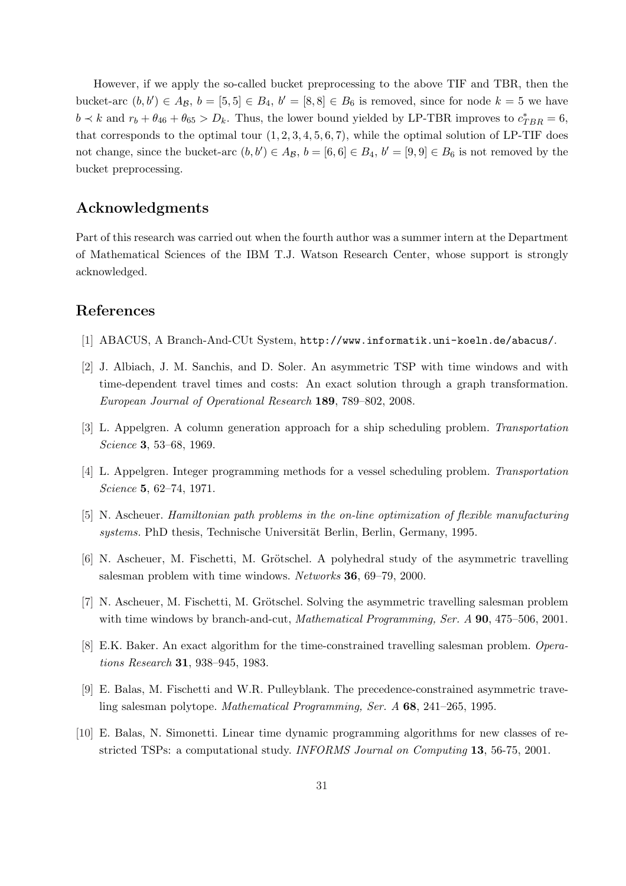However, if we apply the so-called bucket preprocessing to the above TIF and TBR, then the bucket-arc  $(b, b') \in A_{\mathcal{B}}$ ,  $b = [5, 5] \in B_4$ ,  $b' = [8, 8] \in B_6$  is removed, since for node  $k = 5$  we have  $b \prec k$  and  $r_b + \theta_{46} + \theta_{65} > D_k$ . Thus, the lower bound yielded by LP-TBR improves to  $c^*_{TBR} = 6$ , that corresponds to the optimal tour  $(1, 2, 3, 4, 5, 6, 7)$ , while the optimal solution of LP-TIF does not change, since the bucket-arc  $(b, b') \in A_{\mathcal{B}}, b = [6, 6] \in B_4$ ,  $b' = [9, 9] \in B_6$  is not removed by the bucket preprocessing.

# Acknowledgments

Part of this research was carried out when the fourth author was a summer intern at the Department of Mathematical Sciences of the IBM T.J. Watson Research Center, whose support is strongly acknowledged.

# References

- [1] ABACUS, A Branch-And-CUt System, http://www.informatik.uni-koeln.de/abacus/.
- [2] J. Albiach, J. M. Sanchis, and D. Soler. An asymmetric TSP with time windows and with time-dependent travel times and costs: An exact solution through a graph transformation. European Journal of Operational Research 189, 789–802, 2008.
- [3] L. Appelgren. A column generation approach for a ship scheduling problem. Transportation Science 3, 53–68, 1969.
- [4] L. Appelgren. Integer programming methods for a vessel scheduling problem. Transportation Science **5**, 62-74, 1971.
- [5] N. Ascheuer. Hamiltonian path problems in the on-line optimization of flexible manufacturing systems. PhD thesis, Technische Universität Berlin, Berlin, Germany, 1995.
- [6] N. Ascheuer, M. Fischetti, M. Grötschel. A polyhedral study of the asymmetric travelling salesman problem with time windows. Networks 36, 69–79, 2000.
- [7] N. Ascheuer, M. Fischetti, M. Grötschel. Solving the asymmetric travelling salesman problem with time windows by branch-and-cut, Mathematical Programming, Ser. A 90, 475-506, 2001.
- [8] E.K. Baker. An exact algorithm for the time-constrained travelling salesman problem. Operations Research 31, 938–945, 1983.
- [9] E. Balas, M. Fischetti and W.R. Pulleyblank. The precedence-constrained asymmetric traveling salesman polytope. Mathematical Programming, Ser. A 68, 241–265, 1995.
- [10] E. Balas, N. Simonetti. Linear time dynamic programming algorithms for new classes of restricted TSPs: a computational study. INFORMS Journal on Computing 13, 56-75, 2001.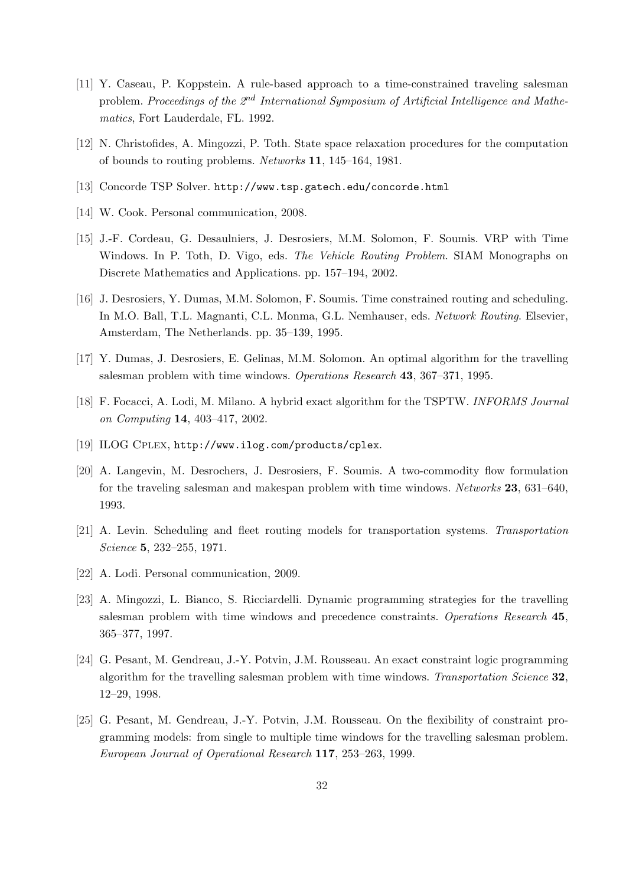- [11] Y. Caseau, P. Koppstein. A rule-based approach to a time-constrained traveling salesman problem. Proceedings of the  $2<sup>nd</sup> International Symposium of Artificial Intelligence and Mathe$ matics, Fort Lauderdale, FL. 1992.
- [12] N. Christofides, A. Mingozzi, P. Toth. State space relaxation procedures for the computation of bounds to routing problems. Networks 11, 145–164, 1981.
- [13] Concorde TSP Solver. http://www.tsp.gatech.edu/concorde.html
- [14] W. Cook. Personal communication, 2008.
- [15] J.-F. Cordeau, G. Desaulniers, J. Desrosiers, M.M. Solomon, F. Soumis. VRP with Time Windows. In P. Toth, D. Vigo, eds. The Vehicle Routing Problem. SIAM Monographs on Discrete Mathematics and Applications. pp. 157–194, 2002.
- [16] J. Desrosiers, Y. Dumas, M.M. Solomon, F. Soumis. Time constrained routing and scheduling. In M.O. Ball, T.L. Magnanti, C.L. Monma, G.L. Nemhauser, eds. Network Routing. Elsevier, Amsterdam, The Netherlands. pp. 35–139, 1995.
- [17] Y. Dumas, J. Desrosiers, E. Gelinas, M.M. Solomon. An optimal algorithm for the travelling salesman problem with time windows. Operations Research 43, 367–371, 1995.
- [18] F. Focacci, A. Lodi, M. Milano. A hybrid exact algorithm for the TSPTW. INFORMS Journal on Computing 14, 403–417, 2002.
- [19] ILOG CPLEX, http://www.ilog.com/products/cplex.
- [20] A. Langevin, M. Desrochers, J. Desrosiers, F. Soumis. A two-commodity flow formulation for the traveling salesman and makespan problem with time windows. Networks 23, 631–640, 1993.
- [21] A. Levin. Scheduling and fleet routing models for transportation systems. Transportation Science 5, 232–255, 1971.
- [22] A. Lodi. Personal communication, 2009.
- [23] A. Mingozzi, L. Bianco, S. Ricciardelli. Dynamic programming strategies for the travelling salesman problem with time windows and precedence constraints. Operations Research 45, 365–377, 1997.
- [24] G. Pesant, M. Gendreau, J.-Y. Potvin, J.M. Rousseau. An exact constraint logic programming algorithm for the travelling salesman problem with time windows. Transportation Science 32, 12–29, 1998.
- [25] G. Pesant, M. Gendreau, J.-Y. Potvin, J.M. Rousseau. On the flexibility of constraint programming models: from single to multiple time windows for the travelling salesman problem. European Journal of Operational Research 117, 253–263, 1999.